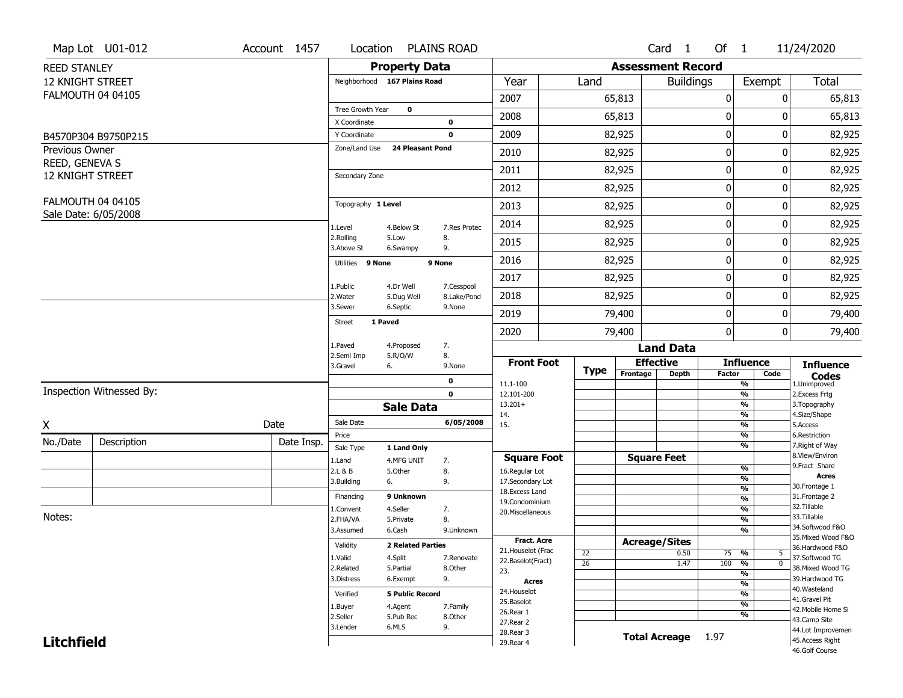|                                           | Map Lot U01-012          | Account 1457 | Location                     |                          | <b>PLAINS ROAD</b> |                                         |                 |                          | Card <sub>1</sub>    | Of $1$        |                                           | 11/24/2020                            |
|-------------------------------------------|--------------------------|--------------|------------------------------|--------------------------|--------------------|-----------------------------------------|-----------------|--------------------------|----------------------|---------------|-------------------------------------------|---------------------------------------|
| <b>REED STANLEY</b>                       |                          |              |                              | <b>Property Data</b>     |                    |                                         |                 | <b>Assessment Record</b> |                      |               |                                           |                                       |
| <b>12 KNIGHT STREET</b>                   |                          |              | Neighborhood 167 Plains Road |                          |                    | Year                                    | Land            |                          | <b>Buildings</b>     |               | Exempt                                    | <b>Total</b>                          |
|                                           | <b>FALMOUTH 04 04105</b> |              |                              |                          |                    | 2007                                    |                 | 65,813                   |                      | $\mathbf 0$   | 0                                         | 65,813                                |
|                                           |                          |              | Tree Growth Year             | $\mathbf 0$              |                    | 2008                                    |                 | 65,813                   |                      | 0             | 0                                         | 65,813                                |
|                                           |                          |              | X Coordinate                 |                          | 0                  |                                         |                 |                          |                      |               |                                           |                                       |
|                                           | B4570P304 B9750P215      |              | Y Coordinate                 |                          | $\mathbf 0$        | 2009                                    |                 | 82,925                   |                      | $\mathbf 0$   | 0                                         | 82,925                                |
| <b>Previous Owner</b>                     |                          |              | Zone/Land Use                | <b>24 Pleasant Pond</b>  |                    | 2010                                    |                 | 82,925                   |                      | 0             | 0                                         | 82,925                                |
| REED, GENEVA S<br><b>12 KNIGHT STREET</b> |                          |              | Secondary Zone               |                          |                    | 2011                                    |                 | 82,925                   |                      | $\mathbf 0$   | 0                                         | 82,925                                |
|                                           |                          |              |                              |                          |                    | 2012                                    |                 | 82,925                   |                      | $\mathbf 0$   | 0                                         | 82,925                                |
|                                           | <b>FALMOUTH 04 04105</b> |              | Topography 1 Level           |                          |                    | 2013                                    |                 | 82,925                   |                      | 0             | 0                                         | 82,925                                |
|                                           | Sale Date: 6/05/2008     |              | 1.Level                      | 4.Below St               | 7.Res Protec       | 2014                                    |                 | 82,925                   |                      | $\mathbf 0$   | 0                                         | 82,925                                |
|                                           |                          |              | 2.Rolling<br>3.Above St      | 5.Low<br>6.Swampy        | 8.<br>9.           | 2015                                    |                 | 82,925                   |                      | $\mathbf 0$   | 0                                         | 82,925                                |
|                                           |                          |              | Utilities 9 None             |                          | 9 None             | 2016                                    |                 | 82,925                   |                      | $\mathbf 0$   | 0                                         | 82,925                                |
|                                           |                          |              | 1.Public                     | 4.Dr Well                | 7.Cesspool         | 2017                                    |                 | 82,925                   |                      | $\mathbf 0$   | 0                                         | 82,925                                |
|                                           |                          |              | 2. Water                     | 5.Dug Well               | 8.Lake/Pond        | 2018                                    |                 | 82,925                   |                      | $\mathbf 0$   | 0                                         | 82,925                                |
|                                           |                          |              | 3.Sewer                      | 6.Septic                 | 9.None             | 2019                                    |                 | 79,400                   |                      | $\mathbf 0$   | 0                                         | 79,400                                |
|                                           |                          |              | 1 Paved<br><b>Street</b>     |                          |                    | 2020                                    |                 | 79,400                   |                      | $\mathbf 0$   | 0                                         | 79,400                                |
|                                           |                          |              | 1.Paved                      | 4.Proposed               | 7.                 |                                         |                 |                          | <b>Land Data</b>     |               |                                           |                                       |
|                                           |                          |              | 2.Semi Imp<br>3.Gravel       | 5.R/O/W<br>6.            | 8.<br>9.None       | <b>Front Foot</b>                       | <b>Type</b>     |                          | <b>Effective</b>     |               | <b>Influence</b>                          | <b>Influence</b>                      |
|                                           |                          |              |                              |                          | 0                  | 11.1-100                                |                 | Frontage                 | <b>Depth</b>         | <b>Factor</b> | Code<br>%                                 | <b>Codes</b><br>1.Unimproved          |
|                                           | Inspection Witnessed By: |              |                              |                          | $\mathbf 0$        | 12.101-200                              |                 |                          |                      |               | $\frac{9}{6}$                             | 2.Excess Frtg                         |
|                                           |                          |              |                              | <b>Sale Data</b>         |                    | $13.201+$<br>14.                        |                 |                          |                      |               | %<br>$\frac{9}{6}$                        | 3. Topography<br>4.Size/Shape         |
| X                                         |                          | Date         | Sale Date                    |                          | 6/05/2008          | 15.                                     |                 |                          |                      |               | %                                         | 5.Access                              |
| No./Date                                  | Description              | Date Insp.   | Price                        |                          |                    |                                         |                 |                          |                      |               | $\frac{9}{6}$                             | 6.Restriction                         |
|                                           |                          |              | Sale Type                    | 1 Land Only              |                    | <b>Square Foot</b>                      |                 |                          | <b>Square Feet</b>   |               | %                                         | 7. Right of Way<br>8.View/Environ     |
|                                           |                          |              | 1.Land<br>2.L & B            | 4.MFG UNIT<br>5.Other    | 7.<br>8.           | 16.Regular Lot                          |                 |                          |                      |               | $\frac{9}{6}$                             | 9. Fract Share                        |
|                                           |                          |              | 3.Building                   | 6.                       | 9.                 | 17.Secondary Lot                        |                 |                          |                      |               | $\overline{\frac{9}{6}}$                  | <b>Acres</b><br>30. Frontage 1        |
|                                           |                          |              | Financing                    | 9 Unknown                |                    | 18. Excess Land                         |                 |                          |                      |               | $\frac{9}{6}$<br>$\overline{\frac{9}{6}}$ | 31. Frontage 2                        |
|                                           |                          |              | 1.Convent                    | 4.Seller                 | 7.                 | 19.Condominium<br>20.Miscellaneous      |                 |                          |                      |               | $\frac{9}{6}$                             | 32.Tillable                           |
| Notes:                                    |                          |              | 2.FHA/VA                     | 5.Private                | 8.                 |                                         |                 |                          |                      |               | $\frac{9}{6}$                             | 33.Tillable                           |
|                                           |                          |              | 3.Assumed                    | 6.Cash                   | 9.Unknown          |                                         |                 |                          |                      |               | %                                         | 34.Softwood F&O                       |
|                                           |                          |              | Validity                     | <b>2 Related Parties</b> |                    | <b>Fract. Acre</b>                      |                 |                          | <b>Acreage/Sites</b> |               |                                           | 35. Mixed Wood F&O<br>36.Hardwood F&O |
|                                           |                          |              | 1.Valid                      | 4.Split                  | 7.Renovate         | 21. Houselot (Frac<br>22.Baselot(Fract) | 22              |                          | 0.50                 | 75 %          | 5                                         | 37.Softwood TG                        |
|                                           |                          |              | 2.Related                    | 5.Partial                | 8.Other            | 23.                                     | $\overline{26}$ |                          | 1.47                 | 100           | $\overline{0}$<br>%                       | 38. Mixed Wood TG                     |
|                                           |                          |              | 3.Distress                   | 6.Exempt                 | 9.                 | <b>Acres</b>                            |                 |                          |                      |               | %<br>$\frac{9}{6}$                        | 39.Hardwood TG                        |
|                                           |                          |              | Verified                     | <b>5 Public Record</b>   |                    | 24. Houselot                            |                 |                          |                      |               | %                                         | 40. Wasteland                         |
|                                           |                          |              | 1.Buyer                      | 4.Agent                  | 7.Family           | 25.Baselot                              |                 |                          |                      |               | $\frac{9}{6}$                             | 41.Gravel Pit                         |
|                                           |                          |              | 2.Seller                     | 5.Pub Rec                | 8.Other            | 26.Rear 1                               |                 |                          |                      |               | %                                         | 42. Mobile Home Si                    |
|                                           |                          |              | 3.Lender                     | 6.MLS                    | 9.                 | 27.Rear 2                               |                 |                          |                      |               |                                           | 43.Camp Site<br>44.Lot Improvemen     |
| <b>Litchfield</b>                         |                          |              |                              |                          |                    | 28. Rear 3                              |                 |                          | <b>Total Acreage</b> | 1.97          |                                           | 45.Access Right                       |
|                                           |                          |              |                              |                          |                    | 29. Rear 4                              |                 |                          |                      |               |                                           | 46.Golf Course                        |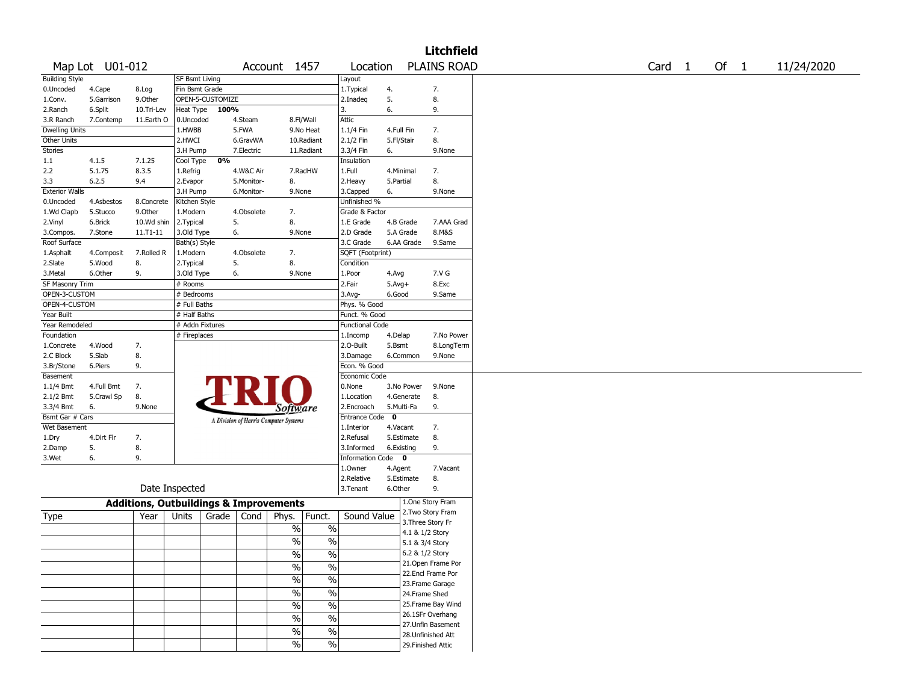|                       |                 |                                                   |                                 |                  |            |                                       |               |                        |              |                 | <b>Litchfield</b>  |                   |      |            |
|-----------------------|-----------------|---------------------------------------------------|---------------------------------|------------------|------------|---------------------------------------|---------------|------------------------|--------------|-----------------|--------------------|-------------------|------|------------|
|                       | Map Lot U01-012 |                                                   |                                 |                  |            | Account 1457                          |               | Location               |              |                 | <b>PLAINS ROAD</b> | Card <sub>1</sub> | Of 1 | 11/24/2020 |
| <b>Building Style</b> |                 |                                                   | <b>SF Bsmt Living</b>           |                  |            |                                       |               | Layout                 |              |                 |                    |                   |      |            |
| 0.Uncoded             | 4.Cape          | 8.Log                                             | Fin Bsmt Grade                  |                  |            |                                       |               | 1. Typical             | 4.           |                 | 7.                 |                   |      |            |
| 1.Conv.               | 5.Garrison      | 9.0ther                                           |                                 | OPEN-5-CUSTOMIZE |            |                                       |               | 2.Inadeq               | 5.           |                 | 8.                 |                   |      |            |
| 2.Ranch               | 6.Split         | 10.Tri-Lev                                        | Heat Type                       | 100%             |            |                                       |               | 3.                     | 6.           |                 | 9.                 |                   |      |            |
| 3.R Ranch             | 7.Contemp       | 11.Earth O                                        | 0.Uncoded                       |                  | 4.Steam    |                                       | 8.Fl/Wall     | Attic                  |              |                 |                    |                   |      |            |
| <b>Dwelling Units</b> |                 |                                                   | 1.HWBB                          |                  | 5.FWA      |                                       | 9.No Heat     | 1.1/4 Fin              | 4.Full Fin   |                 | 7.                 |                   |      |            |
| Other Units           |                 |                                                   | 2.HWCI                          |                  | 6.GravWA   |                                       | 10.Radiant    | 2.1/2 Fin              | 5.Fl/Stair   |                 | 8.                 |                   |      |            |
| Stories               |                 |                                                   | 3.H Pump                        |                  | 7.Electric |                                       | 11.Radiant    | 3.3/4 Fin              | 6.           |                 | 9.None             |                   |      |            |
| 1.1                   | 4.1.5           | 7.1.25                                            | Cool Type                       | 0%               |            |                                       |               | Insulation             |              |                 |                    |                   |      |            |
| 2.2                   | 5.1.75          | 8.3.5                                             | 1.Refrig                        |                  | 4.W&C Air  |                                       | 7.RadHW       | 1.Full                 | 4.Minimal    |                 | 7.                 |                   |      |            |
| 3.3                   | 6.2.5           | 9.4                                               | 2.Evapor                        |                  | 5.Monitor- | 8.                                    |               | 2. Heavy               | 5.Partial    |                 | 8.                 |                   |      |            |
| <b>Exterior Walls</b> |                 |                                                   | 3.H Pump                        |                  | 6.Monitor- | 9.None                                |               | 3.Capped               | 6.           |                 | 9.None             |                   |      |            |
| 0.Uncoded             | 4.Asbestos      | 8.Concrete                                        | Kitchen Style                   |                  |            |                                       |               | Unfinished %           |              |                 |                    |                   |      |            |
| 1.Wd Clapb            | 5.Stucco        | 9.Other                                           | 1.Modern                        |                  | 4.Obsolete | 7.                                    |               | Grade & Factor         |              |                 |                    |                   |      |            |
| 2.Vinyl               | 6.Brick         | 10.Wd shin                                        | 2.Typical                       |                  | 5.         | 8.                                    |               | 1.E Grade              | 4.B Grade    |                 | 7.AAA Grad         |                   |      |            |
| 3.Compos.             | 7.Stone         | 11.T1-11                                          | 3.Old Type                      |                  | 6.         | 9.None                                |               | 2.D Grade              | 5.A Grade    |                 | 8.M&S              |                   |      |            |
| Roof Surface          |                 |                                                   | Bath(s) Style                   |                  |            |                                       |               | 3.C Grade              |              | 6.AA Grade      | 9.Same             |                   |      |            |
| 1.Asphalt             | 4.Composit      | 7.Rolled R                                        | 1.Modern                        |                  | 4.Obsolete | 7.                                    |               | SQFT (Footprint)       |              |                 |                    |                   |      |            |
| 2.Slate               | 5.Wood          | 8.                                                | 2. Typical                      |                  | 5.         | 8.                                    |               | Condition              |              |                 |                    |                   |      |            |
| 3.Metal               | 6.Other         | 9.                                                | 3.Old Type                      |                  | 6.         | 9.None                                |               | 1.Poor                 | 4.Avg        |                 | 7.V G              |                   |      |            |
| SF Masonry Trim       |                 |                                                   | # Rooms                         |                  |            |                                       |               | 2.Fair                 | $5.Avg+$     |                 | 8.Exc              |                   |      |            |
| OPEN-3-CUSTOM         |                 |                                                   | # Bedrooms                      |                  |            |                                       |               | 3.Avg-                 | 6.Good       |                 | 9.Same             |                   |      |            |
| OPEN-4-CUSTOM         |                 |                                                   | # Full Baths                    |                  |            |                                       |               | Phys. % Good           |              |                 |                    |                   |      |            |
| Year Built            |                 |                                                   | # Half Baths                    |                  |            |                                       |               | Funct. % Good          |              |                 |                    |                   |      |            |
| Year Remodeled        |                 |                                                   | # Addn Fixtures<br># Fireplaces |                  |            |                                       |               | <b>Functional Code</b> |              |                 |                    |                   |      |            |
| Foundation            |                 |                                                   |                                 |                  |            |                                       |               | 1.Incomp               | 4.Delap      |                 | 7.No Power         |                   |      |            |
| 1.Concrete            | 4.Wood          | 7.                                                |                                 |                  |            |                                       |               | 2.O-Built              | 5.Bsmt       |                 | 8.LongTerm         |                   |      |            |
| 2.C Block             | 5.Slab          | 8.                                                |                                 |                  |            |                                       |               | 3.Damage               |              | 6.Common        | 9.None             |                   |      |            |
| 3.Br/Stone            | 6.Piers         | 9.                                                |                                 |                  |            |                                       |               | Econ. % Good           |              |                 |                    |                   |      |            |
| Basement              |                 |                                                   |                                 |                  |            |                                       |               | Economic Code          |              |                 |                    |                   |      |            |
| 1.1/4 Bmt             | 4.Full Bmt      | 7.                                                |                                 |                  |            |                                       |               | 0.None                 |              | 3.No Power      | 9.None             |                   |      |            |
| 2.1/2 Bmt             | 5.Crawl Sp      | 8.                                                |                                 |                  |            |                                       |               | 1.Location             |              | 4.Generate      | 8.                 |                   |      |            |
| 3.3/4 Bmt             | 6.              | 9.None                                            |                                 |                  |            | <i>Software</i>                       |               | 2.Encroach             | 5.Multi-Fa   |                 | 9.                 |                   |      |            |
| Bsmt Gar # Cars       |                 |                                                   |                                 |                  |            | A Division of Harris Computer Systems |               | Entrance Code          | $\mathbf{0}$ |                 |                    |                   |      |            |
| Wet Basement          |                 |                                                   |                                 |                  |            |                                       |               | 1.Interior             | 4.Vacant     |                 | 7.                 |                   |      |            |
| 1.Dry                 | 4.Dirt Flr      | 7.                                                |                                 |                  |            |                                       |               | 2.Refusal              |              | 5.Estimate      | 8.                 |                   |      |            |
| 2.Damp                | 5.              | 8.                                                |                                 |                  |            |                                       |               | 3.Informed             | 6.Existing   |                 | 9.                 |                   |      |            |
| 3.Wet                 | 6.              | 9.                                                |                                 |                  |            |                                       |               | Information Code 0     |              |                 |                    |                   |      |            |
|                       |                 |                                                   |                                 |                  |            |                                       |               | 1.0wner                | 4.Agent      |                 | 7.Vacant           |                   |      |            |
|                       |                 |                                                   |                                 |                  |            |                                       |               | 2.Relative             |              | 5.Estimate      | 8.                 |                   |      |            |
|                       |                 | Date Inspected                                    |                                 |                  |            |                                       |               | 3. Tenant              | 6.Other      |                 | 9.                 |                   |      |            |
|                       |                 | <b>Additions, Outbuildings &amp; Improvements</b> |                                 |                  |            |                                       |               |                        |              |                 | 1.One Story Fram   |                   |      |            |
|                       |                 |                                                   | Units                           | Grade            | Cond       |                                       | Funct.        | Sound Value            |              |                 | 2. Two Story Fram  |                   |      |            |
| Type                  |                 | Year                                              |                                 |                  |            | Phys.                                 |               |                        |              |                 | 3. Three Story Fr  |                   |      |            |
|                       |                 |                                                   |                                 |                  |            | $\%$                                  | %             |                        |              | 4.1 & 1/2 Story |                    |                   |      |            |
|                       |                 |                                                   |                                 |                  |            | $\frac{0}{0}$                         | $\frac{0}{0}$ |                        |              | 5.1 & 3/4 Story |                    |                   |      |            |
|                       |                 |                                                   |                                 |                  |            | $\frac{9}{6}$                         | $\frac{9}{6}$ |                        |              | 6.2 & 1/2 Story |                    |                   |      |            |
|                       |                 |                                                   |                                 |                  |            | $\sqrt{6}$                            | $\frac{9}{6}$ |                        |              |                 | 21. Open Frame Por |                   |      |            |
|                       |                 |                                                   |                                 |                  |            |                                       |               |                        |              |                 | 22.Encl Frame Por  |                   |      |            |
|                       |                 |                                                   |                                 |                  |            | $\frac{0}{6}$                         | $\frac{0}{6}$ |                        |              |                 | 23. Frame Garage   |                   |      |            |
|                       |                 |                                                   |                                 |                  |            | $\sqrt{6}$                            | $\frac{0}{6}$ |                        |              | 24.Frame Shed   |                    |                   |      |            |
|                       |                 |                                                   |                                 |                  |            | $\sqrt{6}$                            | $\sqrt{6}$    |                        |              |                 | 25.Frame Bay Wind  |                   |      |            |
|                       |                 |                                                   |                                 |                  |            |                                       |               |                        |              |                 | 26.1SFr Overhang   |                   |      |            |
|                       |                 |                                                   |                                 |                  |            | $\sqrt{6}$                            | $\sqrt{6}$    |                        |              |                 | 27.Unfin Basement  |                   |      |            |
|                       |                 |                                                   |                                 |                  |            | $\sqrt{6}$                            | $\frac{0}{6}$ |                        |              |                 | 28. Unfinished Att |                   |      |            |
|                       |                 |                                                   |                                 |                  |            | $\sqrt{2}$                            | $\frac{9}{6}$ |                        |              |                 | 29. Finished Attic |                   |      |            |
|                       |                 |                                                   |                                 |                  |            |                                       |               |                        |              |                 |                    |                   |      |            |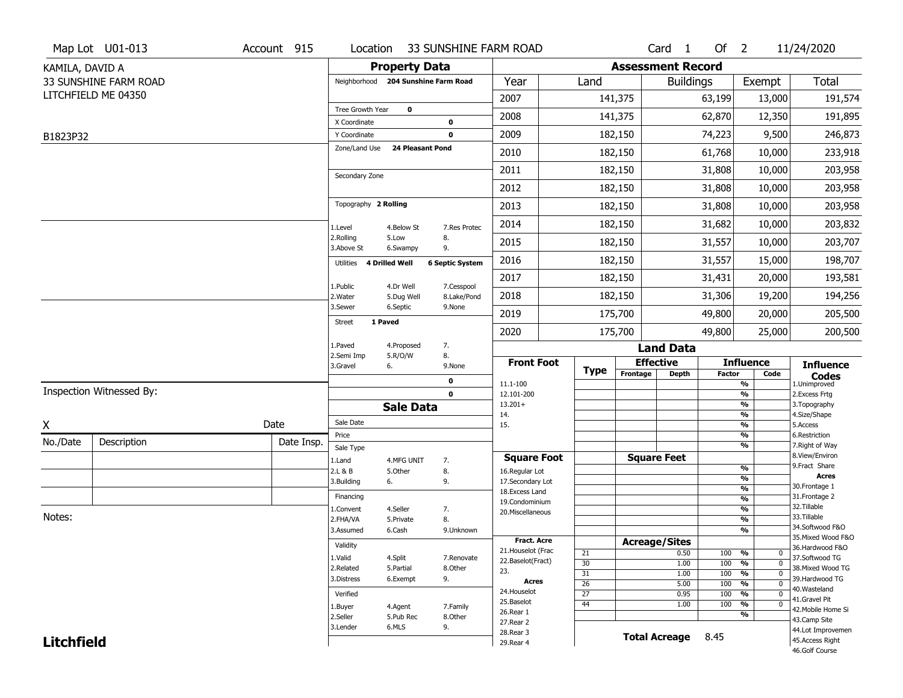|                   | Map Lot U01-013          | Account 915 | Location                               | 33 SUNSHINE FARM ROAD               |                              |                                  |                 |                          | Card <sub>1</sub> | $Of$ 2        |                                   | 11/24/2020                            |
|-------------------|--------------------------|-------------|----------------------------------------|-------------------------------------|------------------------------|----------------------------------|-----------------|--------------------------|-------------------|---------------|-----------------------------------|---------------------------------------|
| KAMILA, DAVID A   |                          |             |                                        | <b>Property Data</b>                |                              |                                  |                 | <b>Assessment Record</b> |                   |               |                                   |                                       |
|                   | 33 SUNSHINE FARM ROAD    |             |                                        | Neighborhood 204 Sunshine Farm Road |                              | Year                             | Land            |                          | <b>Buildings</b>  |               | Exempt                            | <b>Total</b>                          |
|                   | LITCHFIELD ME 04350      |             |                                        |                                     |                              | 2007                             |                 | 141,375                  |                   | 63,199        | 13,000                            | 191,574                               |
|                   |                          |             | Tree Growth Year<br>X Coordinate       | $\mathbf 0$                         | 0                            | 2008                             |                 | 141,375                  |                   | 62,870        | 12,350                            | 191,895                               |
| B1823P32          |                          |             | Y Coordinate                           |                                     | $\mathbf 0$                  | 2009                             |                 | 182,150                  |                   | 74,223        | 9,500                             | 246,873                               |
|                   |                          |             | Zone/Land Use                          | <b>24 Pleasant Pond</b>             |                              | 2010                             |                 | 182,150                  |                   | 61,768        | 10,000                            | 233,918                               |
|                   |                          |             |                                        |                                     |                              | 2011                             |                 | 182,150                  |                   | 31,808        | 10,000                            | 203,958                               |
|                   |                          |             | Secondary Zone                         |                                     |                              | 2012                             |                 | 182,150                  |                   | 31,808        | 10,000                            | 203,958                               |
|                   |                          |             | Topography 2 Rolling                   |                                     |                              | 2013                             |                 | 182,150                  |                   | 31,808        | 10,000                            | 203,958                               |
|                   |                          |             | 1.Level                                | 4.Below St                          | 7.Res Protec                 | 2014                             |                 | 182,150                  |                   | 31,682        | 10,000                            | 203,832                               |
|                   |                          |             | 2.Rolling                              | 5.Low                               | 8.                           | 2015                             |                 | 182,150                  |                   | 31,557        | 10,000                            | 203,707                               |
|                   |                          |             | 3.Above St<br>Utilities 4 Drilled Well | 6.Swampy                            | 9.<br><b>6 Septic System</b> | 2016                             |                 | 182,150                  |                   | 31,557        | 15,000                            | 198,707                               |
|                   |                          |             |                                        |                                     |                              | 2017                             |                 | 182,150                  |                   | 31,431        | 20,000                            | 193,581                               |
|                   |                          |             | 1.Public<br>2. Water                   | 4.Dr Well<br>5.Dug Well             | 7.Cesspool<br>8.Lake/Pond    | 2018                             |                 | 182,150                  |                   | 31,306        | 19,200                            | 194,256                               |
|                   |                          |             | 3.Sewer                                | 6.Septic                            | 9.None                       | 2019                             |                 | 175,700                  |                   | 49,800        | 20,000                            | 205,500                               |
|                   |                          |             | 1 Paved<br><b>Street</b>               |                                     |                              | 2020                             |                 | 175,700                  |                   | 49,800        | 25,000                            | 200,500                               |
|                   |                          |             | 1.Paved                                | 4.Proposed                          | 7.                           |                                  |                 |                          | <b>Land Data</b>  |               |                                   |                                       |
|                   |                          |             | 2.Semi Imp<br>3.Gravel                 | 5.R/O/W<br>6.                       | 8.<br>9.None                 | <b>Front Foot</b>                | <b>Type</b>     | <b>Effective</b>         |                   |               | <b>Influence</b>                  | <b>Influence</b>                      |
|                   |                          |             |                                        |                                     | $\mathbf 0$                  | 11.1-100                         |                 | Frontage                 | <b>Depth</b>      | <b>Factor</b> | Code<br>$\overline{\frac{9}{6}}$  | <b>Codes</b><br>1.Unimproved          |
|                   | Inspection Witnessed By: |             |                                        |                                     | $\mathbf 0$                  | 12.101-200                       |                 |                          |                   |               | $\frac{9}{6}$                     | 2.Excess Frtg                         |
|                   |                          |             |                                        | <b>Sale Data</b>                    |                              | $13.201+$<br>14.                 |                 |                          |                   |               | $\frac{9}{6}$<br>$\frac{9}{6}$    | 3. Topography<br>4.Size/Shape         |
| $\underline{X}$   |                          | Date        | Sale Date                              |                                     |                              |                                  |                 |                          |                   |               |                                   | 5.Access                              |
| No./Date          |                          |             |                                        |                                     |                              | 15.                              |                 |                          |                   |               | $\frac{9}{6}$                     |                                       |
|                   | Description              | Date Insp.  | Price                                  |                                     |                              |                                  |                 |                          |                   |               | $\frac{9}{6}$<br>$\frac{9}{6}$    | 6.Restriction<br>7. Right of Way      |
|                   |                          |             | Sale Type<br>1.Land                    | 4.MFG UNIT                          | 7.                           | <b>Square Foot</b>               |                 | <b>Square Feet</b>       |                   |               |                                   | 8.View/Environ                        |
|                   |                          |             | 2.L & B                                | 5.Other                             | 8.                           | 16.Regular Lot                   |                 |                          |                   |               | %                                 | 9.Fract Share                         |
|                   |                          |             | 3.Building                             | 6.                                  | 9.                           | 17.Secondary Lot                 |                 |                          |                   |               | %<br>%                            | <b>Acres</b><br>30. Frontage 1        |
|                   |                          |             | Financing                              |                                     |                              | 18.Excess Land<br>19.Condominium |                 |                          |                   |               | %                                 | 31. Frontage 2                        |
|                   |                          |             | 1.Convent                              | 4.Seller                            | 7.                           | 20.Miscellaneous                 |                 |                          |                   |               | %                                 | 32.Tillable                           |
| Notes:            |                          |             | 2.FHA/VA                               | 5.Private                           | 8.                           |                                  |                 |                          |                   |               | %                                 | 33.Tillable<br>34.Softwood F&O        |
|                   |                          |             | 3.Assumed                              | 6.Cash                              | 9.Unknown                    | <b>Fract. Acre</b>               |                 |                          |                   |               | %                                 | 35. Mixed Wood F&O                    |
|                   |                          |             | Validity                               |                                     |                              | 21. Houselot (Frac               | 21              | <b>Acreage/Sites</b>     |                   | 100           | %<br>0                            | 36.Hardwood F&O                       |
|                   |                          |             | 1.Valid                                | 4.Split                             | 7.Renovate                   | 22.Baselot(Fract)                | $\overline{30}$ |                          | 0.50<br>1.00      | 100           | $\frac{9}{6}$<br>$\mathbf 0$      | 37.Softwood TG                        |
|                   |                          |             | 2.Related                              | 5.Partial                           | 8.Other                      | 23.                              | $\overline{31}$ |                          | 1.00              | 100           | $\frac{9}{6}$<br>0                | 38. Mixed Wood TG                     |
|                   |                          |             | 3.Distress                             | 6.Exempt                            | 9.                           | Acres                            | $\overline{26}$ |                          | 5.00              | 100           | $\frac{9}{6}$<br>$\mathbf 0$      | 39.Hardwood TG<br>40. Wasteland       |
|                   |                          |             | Verified                               |                                     |                              | 24. Houselot<br>25.Baselot       | $\overline{27}$ |                          | 0.95              | 100           | $\frac{9}{6}$<br>$\mathbf 0$      | 41.Gravel Pit                         |
|                   |                          |             | 1.Buyer                                | 4.Agent                             | 7.Family                     | 26.Rear 1                        | 44              |                          | 1.00              | 100           | $\frac{9}{6}$<br>$\mathbf 0$<br>% | 42. Mobile Home Si                    |
|                   |                          |             | 2.Seller                               | 5.Pub Rec                           | 8.Other                      | 27.Rear 2                        |                 |                          |                   |               |                                   | 43.Camp Site                          |
| <b>Litchfield</b> |                          |             | 3.Lender                               | 6.MLS                               | 9.                           | 28.Rear 3<br>29. Rear 4          |                 | <b>Total Acreage</b>     |                   | 8.45          |                                   | 44.Lot Improvemen<br>45. Access Right |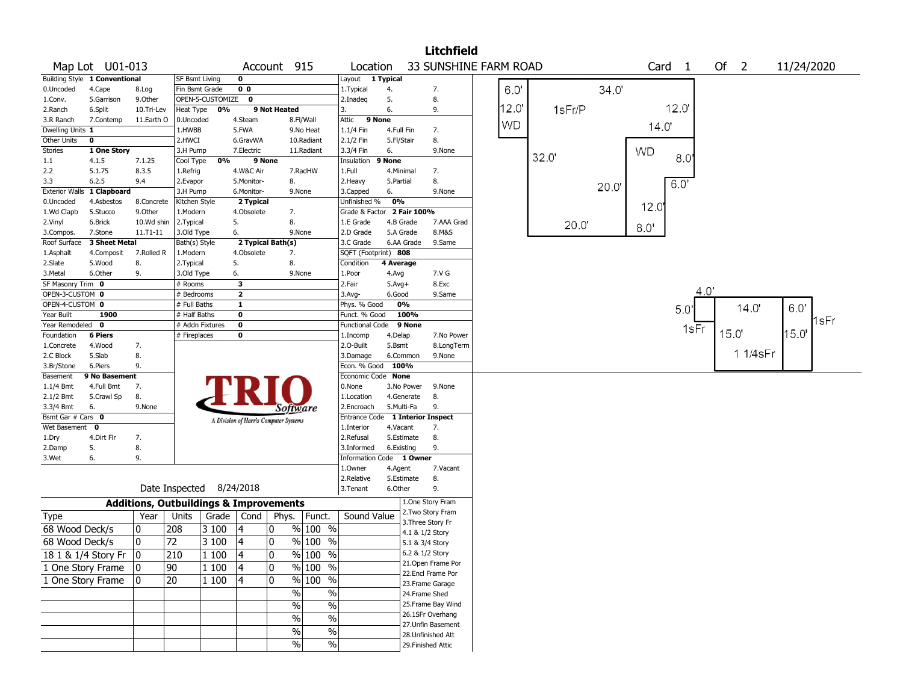|                                                                                                         |                                                                         |                                                   |                          |              |                         |                                       |                          |                                  |            |                   | <b>Litchfield</b>     |           |        |      |                   |      |        |          |            |      |
|---------------------------------------------------------------------------------------------------------|-------------------------------------------------------------------------|---------------------------------------------------|--------------------------|--------------|-------------------------|---------------------------------------|--------------------------|----------------------------------|------------|-------------------|-----------------------|-----------|--------|------|-------------------|------|--------|----------|------------|------|
| Map Lot U01-013<br>Account 915<br>Building Style 1 Conventional<br>$\mathbf 0$<br><b>SF Bsmt Living</b> |                                                                         |                                                   |                          |              |                         |                                       |                          | Location                         |            |                   | 33 SUNSHINE FARM ROAD |           |        |      | Card <sub>1</sub> |      | Of $2$ |          | 11/24/2020 |      |
|                                                                                                         |                                                                         |                                                   |                          |              |                         |                                       |                          | Layout 1 Typical                 |            |                   |                       |           |        |      |                   |      |        |          |            |      |
| 0.Uncoded                                                                                               | 0 <sub>0</sub><br>4.Cape<br>Fin Bsmt Grade<br>8.Log<br>OPEN-5-CUSTOMIZE |                                                   |                          |              |                         |                                       |                          | 1.Typical                        | 4.         |                   | 7.                    | 6.0       |        | 34.0 |                   |      |        |          |            |      |
| 1.Conv.                                                                                                 | 5.Garrison                                                              | 9.0ther                                           |                          |              | $\mathbf 0$             |                                       |                          | 2.Inadeg                         | 5.         |                   | 8.                    |           |        |      |                   |      |        |          |            |      |
| 2.Ranch                                                                                                 | 6.Split                                                                 | 10.Tri-Lev                                        | Heat Type                | 0%           |                         | 9 Not Heated                          |                          | 3.                               | 6.         |                   | 9.                    | 12.0'     | 1sFr/P |      |                   | 12.0 |        |          |            |      |
| 3.R Ranch                                                                                               | 7.Contemp                                                               | 11.Earth O                                        | 0.Uncoded                |              | 4.Steam                 |                                       | 8.Fl/Wall                | Attic<br>9 None                  |            |                   |                       | <b>WD</b> |        |      |                   |      |        |          |            |      |
| Dwelling Units 1                                                                                        |                                                                         |                                                   | 1.HWBB                   |              | 5.FWA                   |                                       | 9.No Heat                | 1.1/4 Fin                        | 4.Full Fin |                   | 7.                    |           |        |      | 14.0'             |      |        |          |            |      |
| Other Units                                                                                             | 0                                                                       |                                                   | 2.HWCI                   |              | 6.GravWA                |                                       | 10.Radiant               | 2.1/2 Fin                        | 5.Fl/Stair |                   | 8.                    |           |        |      |                   |      |        |          |            |      |
| Stories                                                                                                 | 1 One Story                                                             |                                                   | 3.H Pump                 |              | 7.Electric              |                                       | 11.Radiant               | 3.3/4 Fin                        | 6.         |                   | 9.None                |           |        |      | <b>WD</b>         |      |        |          |            |      |
| 1.1                                                                                                     | 4.1.5                                                                   | 7.1.25                                            | Cool Type                | 0%           | 9 None                  |                                       |                          | Insulation                       | 9 None     |                   |                       |           | 32.0"  |      |                   | 80   |        |          |            |      |
| 2.2                                                                                                     | 5.1.75                                                                  | 8.3.5                                             | 1.Refrig                 |              | 4.W&C Air               |                                       | 7.RadHW                  | 1.Full                           | 4.Minimal  |                   | 7.                    |           |        |      |                   |      |        |          |            |      |
| 3.3                                                                                                     | 6.2.5                                                                   | 9.4                                               | 2.Evapor                 |              | 5.Monitor-              | 8.                                    |                          | 2.Heavy                          | 5.Partial  |                   | 8.                    |           |        | 20.0 |                   | 60'  |        |          |            |      |
| <b>Exterior Walls</b>                                                                                   | 1 Clapboard                                                             |                                                   | 3.H Pump                 |              | 6.Monitor-              | 9.None                                |                          | 3.Capped                         | 6.         |                   | 9.None                |           |        |      |                   |      |        |          |            |      |
| 0.Uncoded                                                                                               | 4.Asbestos                                                              | 8.Concrete                                        | Kitchen Style            |              | 2 Typical               |                                       |                          | Unfinished %                     | 0%         |                   |                       |           |        |      | 12.0              |      |        |          |            |      |
| 1.Wd Clapb                                                                                              | 5.Stucco                                                                | 9.0ther                                           | 1.Modern                 |              | 4.Obsolete              | 7.                                    |                          | Grade & Factor 2 Fair 100%       |            |                   |                       |           |        |      |                   |      |        |          |            |      |
| 2.Vinyl                                                                                                 | 6.Brick                                                                 | 10.Wd shin                                        | 2.Typical                |              | 5.                      | 8.                                    |                          | 1.E Grade                        | 4.B Grade  |                   | 7.AAA Grad            |           | 20.0'  |      |                   |      |        |          |            |      |
| 3.Compos.                                                                                               | 7.Stone                                                                 | $11.71 - 11$                                      | 3.Old Type               |              | 6.                      | 9.None                                |                          | 2.D Grade                        | 5.A Grade  |                   | 8.M&S                 |           |        |      | 8.0'              |      |        |          |            |      |
| Roof Surface                                                                                            | 3 Sheet Metal                                                           |                                                   | Bath(s) Style            |              |                         | 2 Typical Bath(s)                     |                          | 3.C Grade                        | 6.AA Grade |                   | 9.Same                |           |        |      |                   |      |        |          |            |      |
| 1.Asphalt                                                                                               | 4.Composit                                                              | 7.Rolled R                                        | 1.Modern                 |              | 4.Obsolete              | 7.                                    |                          | SQFT (Footprint) 808             |            |                   |                       |           |        |      |                   |      |        |          |            |      |
| 2.Slate                                                                                                 | 5.Wood                                                                  | 8.                                                | 2. Typical               |              | 5.                      | 8.                                    |                          | Condition                        | 4 Average  |                   |                       |           |        |      |                   |      |        |          |            |      |
| 3.Metal                                                                                                 | 6.Other                                                                 | 9.                                                | 3.Old Type               |              | 6.                      | 9.None                                |                          | 1.Poor                           | 4.Avg      |                   | 7.V G                 |           |        |      |                   |      |        |          |            |      |
| SF Masonry Trim 0                                                                                       |                                                                         |                                                   | # Rooms                  |              | 3                       |                                       |                          | 2.Fair                           | $5.Avg+$   |                   | 8.Exc                 |           |        |      |                   |      |        |          |            |      |
| OPEN-3-CUSTOM 0                                                                                         |                                                                         |                                                   | # Bedrooms               |              | $\overline{\mathbf{2}}$ |                                       |                          | 3.Avg-                           | 6.Good     |                   | 9.Same                |           |        |      |                   | 4.0" |        |          |            |      |
| OPEN-4-CUSTOM 0                                                                                         |                                                                         |                                                   | # Full Baths             |              | $\mathbf{1}$            |                                       |                          | Phys. % Good                     | 0%         |                   |                       |           |        |      |                   | 5.0  |        | 14.0'    | 6.0'       |      |
| Year Built                                                                                              | 1900                                                                    |                                                   | # Half Baths             |              | $\mathbf 0$             |                                       |                          | Funct. % Good                    |            | 100%              |                       |           |        |      |                   |      |        |          |            |      |
| Year Remodeled 0                                                                                        |                                                                         |                                                   | # Addn Fixtures          |              | $\pmb{0}$               |                                       |                          | <b>Functional Code</b>           |            | 9 None            |                       |           |        |      |                   | 1sFr |        |          |            | 1sFr |
| Foundation                                                                                              | <b>6 Piers</b>                                                          |                                                   | # Fireplaces             |              | 0                       |                                       |                          | 1.Incomp                         | 4.Delap    |                   | 7.No Power            |           |        |      |                   |      | 15.0   |          | 15.0       |      |
| 1.Concrete                                                                                              | 4.Wood                                                                  | 7.                                                |                          |              |                         |                                       |                          | 2.0-Built                        | 5.Bsmt     |                   | 8.LongTerm            |           |        |      |                   |      |        |          |            |      |
| 2.C Block                                                                                               | 5.Slab                                                                  | 8.                                                |                          |              |                         |                                       |                          | 3.Damage                         | 6.Common   |                   | 9.None                |           |        |      |                   |      |        | 1 1/4sFr |            |      |
| 3.Br/Stone                                                                                              | 6.Piers                                                                 | 9.                                                |                          |              |                         |                                       |                          | Econ. % Good                     | 100%       |                   |                       |           |        |      |                   |      |        |          |            |      |
| Basement                                                                                                | 9 No Basement                                                           |                                                   |                          |              |                         |                                       |                          | Economic Code None               |            |                   |                       |           |        |      |                   |      |        |          |            |      |
| $1.1/4$ Bmt                                                                                             | 4.Full Bmt                                                              | 7.                                                |                          |              |                         |                                       |                          | 0.None                           | 3.No Power |                   | 9.None                |           |        |      |                   |      |        |          |            |      |
| 2.1/2 Bmt                                                                                               | 5.Crawl Sp                                                              | 8.                                                |                          |              |                         |                                       |                          | 1.Location                       | 4.Generate |                   | 8.                    |           |        |      |                   |      |        |          |            |      |
| 3.3/4 Bmt                                                                                               | 6.                                                                      | 9.None                                            |                          |              |                         | Software                              |                          | 2.Encroach                       | 5.Multi-Fa |                   | 9.                    |           |        |      |                   |      |        |          |            |      |
| Bsmt Gar # Cars 0                                                                                       |                                                                         |                                                   |                          |              |                         | A Division of Harris Computer Systems |                          | Entrance Code 1 Interior Inspect |            |                   |                       |           |        |      |                   |      |        |          |            |      |
| Wet Basement                                                                                            | 0                                                                       |                                                   |                          |              |                         |                                       |                          | 1.Interior                       | 4.Vacant   |                   | 7.                    |           |        |      |                   |      |        |          |            |      |
| 1.Dry                                                                                                   | 4.Dirt Flr                                                              | 7.                                                |                          |              |                         |                                       |                          | 2.Refusal                        | 5.Estimate |                   | 8.                    |           |        |      |                   |      |        |          |            |      |
| 2.Damp                                                                                                  | 5.                                                                      | 8.                                                |                          |              |                         |                                       |                          | 3.Informed                       | 6.Existing |                   | 9.                    |           |        |      |                   |      |        |          |            |      |
| 3.Wet                                                                                                   | 6.                                                                      | 9.                                                |                          |              |                         |                                       |                          | Information Code 1 Owner         |            |                   |                       |           |        |      |                   |      |        |          |            |      |
|                                                                                                         |                                                                         |                                                   |                          |              |                         |                                       |                          | 1.Owner                          | 4.Agent    |                   | 7.Vacant              |           |        |      |                   |      |        |          |            |      |
|                                                                                                         |                                                                         |                                                   |                          |              |                         |                                       |                          | 2.Relative                       | 5.Estimate |                   | 8.                    |           |        |      |                   |      |        |          |            |      |
|                                                                                                         |                                                                         |                                                   | Date Inspected 8/24/2018 |              |                         |                                       |                          | 3.Tenant                         | 6.Other    |                   | 9.                    |           |        |      |                   |      |        |          |            |      |
|                                                                                                         |                                                                         | <b>Additions, Outbuildings &amp; Improvements</b> |                          |              |                         |                                       |                          |                                  |            |                   | 1.One Story Fram      |           |        |      |                   |      |        |          |            |      |
| Type                                                                                                    |                                                                         | Year                                              | Units                    | Grade   Cond |                         | Phys.                                 | Funct.                   | Sound Value                      |            |                   | 2. Two Story Fram     |           |        |      |                   |      |        |          |            |      |
| 68 Wood Deck/s                                                                                          |                                                                         | 10                                                | 208                      | 3 100        | 4                       | 0                                     | $%100$ %                 |                                  |            | 3. Three Story Fr |                       |           |        |      |                   |      |        |          |            |      |
|                                                                                                         |                                                                         |                                                   |                          |              |                         |                                       |                          |                                  |            | 4.1 & 1/2 Story   |                       |           |        |      |                   |      |        |          |            |      |
| 68 Wood Deck/s                                                                                          |                                                                         | 10                                                | 72                       | 3 100        | 4                       | 0                                     | $%100$ %                 |                                  |            | 5.1 & 3/4 Story   |                       |           |        |      |                   |      |        |          |            |      |
|                                                                                                         | 18 1 & 1/4 Story Fr 0                                                   |                                                   | 210                      | $ 1\>100$    | 14                      | $\mathbf{0}$                          | % 100 %                  |                                  |            | 6.2 & 1/2 Story   |                       |           |        |      |                   |      |        |          |            |      |
|                                                                                                         | 1 One Story Frame                                                       | $ 0\rangle$                                       | 90                       | 1 100        | 4                       | 0                                     | % 100 %                  |                                  |            |                   | 21. Open Frame Por    |           |        |      |                   |      |        |          |            |      |
|                                                                                                         | 1 One Story Frame                                                       | 10                                                | 20                       | 1 100        | 4                       | 0                                     | % 100 %                  |                                  |            |                   | 22.Encl Frame Por     |           |        |      |                   |      |        |          |            |      |
|                                                                                                         |                                                                         |                                                   |                          |              |                         |                                       |                          |                                  |            |                   | 23. Frame Garage      |           |        |      |                   |      |        |          |            |      |
|                                                                                                         |                                                                         |                                                   |                          |              |                         | $\frac{1}{2}$                         | $\%$                     |                                  |            | 24.Frame Shed     |                       |           |        |      |                   |      |        |          |            |      |
|                                                                                                         |                                                                         |                                                   |                          |              |                         | $\sqrt{6}$                            | $\overline{\frac{0}{6}}$ |                                  |            |                   | 25. Frame Bay Wind    |           |        |      |                   |      |        |          |            |      |
|                                                                                                         |                                                                         |                                                   |                          |              |                         | $\sqrt{6}$                            | $\overline{\frac{0}{6}}$ |                                  |            |                   | 26.1SFr Overhang      |           |        |      |                   |      |        |          |            |      |
|                                                                                                         |                                                                         |                                                   |                          |              |                         | $\sqrt{6}$                            | $\%$                     |                                  |            |                   | 27.Unfin Basement     |           |        |      |                   |      |        |          |            |      |
|                                                                                                         |                                                                         |                                                   |                          |              |                         |                                       |                          |                                  |            |                   | 28. Unfinished Att    |           |        |      |                   |      |        |          |            |      |
|                                                                                                         |                                                                         |                                                   |                          |              |                         | $\%$                                  | $\%$                     |                                  |            |                   | 29. Finished Attic    |           |        |      |                   |      |        |          |            |      |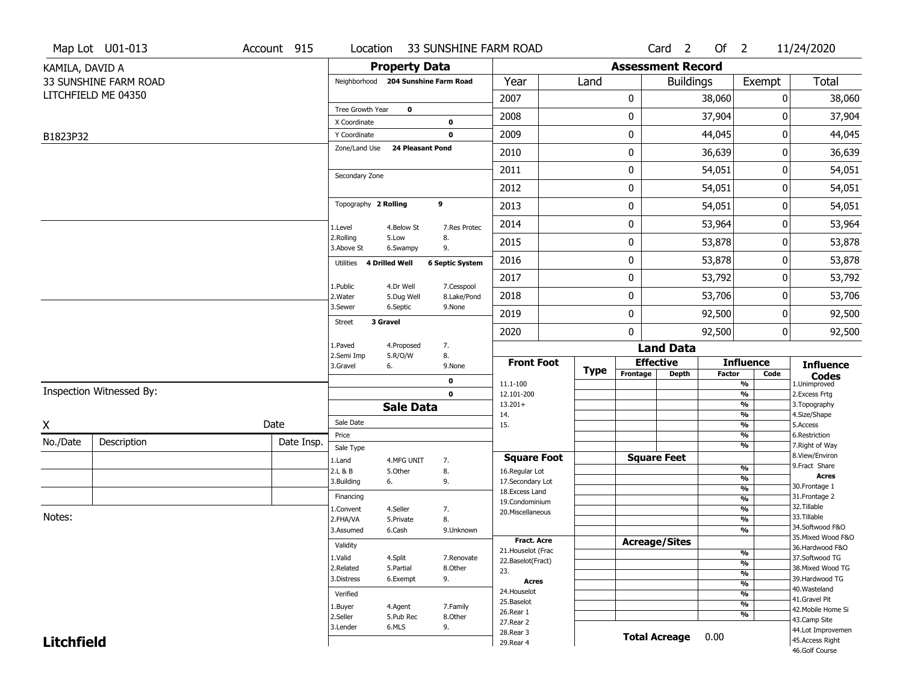| <b>Property Data</b><br><b>Assessment Record</b><br>KAMILA, DAVID A<br>Total<br>33 SUNSHINE FARM ROAD<br>Year<br><b>Buildings</b><br>Neighborhood 204 Sunshine Farm Road<br>Land<br>Exempt<br>LITCHFIELD ME 04350<br>2007<br>0<br>0<br>38,060<br>38,060<br>Tree Growth Year<br>$\mathbf 0$<br>37,904<br>2008<br>0<br>0<br>37,904<br>X Coordinate<br>$\mathbf 0$<br>2009<br>0<br>44,045<br>0<br>44,045<br>Y Coordinate<br>$\bf{0}$<br>B1823P32<br>Zone/Land Use<br>24 Pleasant Pond<br>0<br>36,639<br>36,639<br>2010<br>0<br>2011<br>0<br>54,051<br>0<br>54,051<br>Secondary Zone<br>0<br>2012<br>54,051<br>0<br>54,051<br>Topography 2 Rolling<br>9<br>54,051<br>2013<br>0<br>0<br>54,051<br>0<br>2014<br>53,964<br>53,964<br>0<br>4.Below St<br>7.Res Protec<br>1.Level<br>2.Rolling<br>5.Low<br>8.<br>53,878<br>2015<br>0<br>0<br>53,878<br>3.Above St<br>9.<br>6.Swampy<br>53,878<br>2016<br>0<br>0<br>53,878<br>Utilities 4 Drilled Well<br><b>6 Septic System</b><br>53,792<br>2017<br>0<br>0<br>53,792<br>1.Public<br>4.Dr Well<br>7.Cesspool<br>53,706<br>2018<br>0<br>0<br>53,706<br>2. Water<br>5.Dug Well<br>8.Lake/Pond<br>3.Sewer<br>6.Septic<br>9.None<br>2019<br>0<br>92,500<br>0<br>92,500<br>3 Gravel<br><b>Street</b><br>$\mathbf{0}$<br>92,500<br>0<br>2020<br>92,500<br>4.Proposed<br>7.<br>1.Paved<br><b>Land Data</b><br>2.Semi Imp<br>5.R/O/W<br>8.<br><b>Front Foot</b><br><b>Effective</b><br><b>Influence</b><br><b>Influence</b><br>3.Gravel<br>9.None<br>6.<br><b>Type</b><br>Frontage<br><b>Depth</b><br><b>Factor</b><br>Code<br><b>Codes</b><br>1.Unimproved<br>$\mathbf 0$<br>$\frac{9}{6}$<br>11.1-100<br>Inspection Witnessed By:<br>$\mathbf 0$<br>$\frac{9}{6}$<br>12.101-200<br>2.Excess Frtg<br>$\frac{9}{6}$<br>$13.201+$<br>3. Topography<br><b>Sale Data</b><br>$\frac{9}{6}$<br>14.<br>4.Size/Shape<br>Sale Date<br>Date<br>Χ<br>$\frac{9}{6}$<br>15.<br>5.Access<br>%<br>6.Restriction<br>Price<br>Description<br>No./Date<br>Date Insp.<br>$\frac{9}{6}$<br>7. Right of Way<br>Sale Type<br>8.View/Environ<br><b>Square Foot</b><br><b>Square Feet</b><br>1.Land<br>4.MFG UNIT<br>7.<br>9. Fract Share<br>%<br>2.L & B<br>8.<br>5.Other<br>16.Regular Lot<br><b>Acres</b><br>%<br>3.Building<br>9.<br>17.Secondary Lot<br>6.<br>30. Frontage 1<br>%<br>18. Excess Land<br>31. Frontage 2<br>Financing<br>$\frac{9}{6}$<br>19.Condominium<br>32.Tillable<br>4.Seller<br>$\frac{9}{6}$<br>1.Convent<br>7.<br>20.Miscellaneous<br>Notes:<br>33.Tillable<br>2.FHA/VA<br>8.<br>$\frac{9}{6}$<br>5.Private<br>34.Softwood F&O<br>3.Assumed<br>%<br>6.Cash<br>9.Unknown<br>35. Mixed Wood F&O<br>Fract. Acre<br><b>Acreage/Sites</b><br>Validity<br>36.Hardwood F&O<br>21. Houselot (Frac<br>$\frac{9}{6}$<br>37.Softwood TG<br>1.Valid<br>4.Split<br>7.Renovate<br>22.Baselot(Fract)<br>$\frac{9}{6}$<br>2.Related<br>5.Partial<br>8.Other<br>38. Mixed Wood TG<br>23.<br>$\frac{9}{6}$ | Map Lot U01-013 | Account 915 | Location   |          | 33 SUNSHINE FARM ROAD |  |  | Card <sub>2</sub> | Of $2$ |  | 11/24/2020     |
|------------------------------------------------------------------------------------------------------------------------------------------------------------------------------------------------------------------------------------------------------------------------------------------------------------------------------------------------------------------------------------------------------------------------------------------------------------------------------------------------------------------------------------------------------------------------------------------------------------------------------------------------------------------------------------------------------------------------------------------------------------------------------------------------------------------------------------------------------------------------------------------------------------------------------------------------------------------------------------------------------------------------------------------------------------------------------------------------------------------------------------------------------------------------------------------------------------------------------------------------------------------------------------------------------------------------------------------------------------------------------------------------------------------------------------------------------------------------------------------------------------------------------------------------------------------------------------------------------------------------------------------------------------------------------------------------------------------------------------------------------------------------------------------------------------------------------------------------------------------------------------------------------------------------------------------------------------------------------------------------------------------------------------------------------------------------------------------------------------------------------------------------------------------------------------------------------------------------------------------------------------------------------------------------------------------------------------------------------------------------------------------------------------------------------------------------------------------------------------------------------------------------------------------------------------------------------------------------------------------------------------------------------------------------------------------------------------------------------------------------------------------------------------------------------------------------------------------------------------------------------------------------------------------------------|-----------------|-------------|------------|----------|-----------------------|--|--|-------------------|--------|--|----------------|
|                                                                                                                                                                                                                                                                                                                                                                                                                                                                                                                                                                                                                                                                                                                                                                                                                                                                                                                                                                                                                                                                                                                                                                                                                                                                                                                                                                                                                                                                                                                                                                                                                                                                                                                                                                                                                                                                                                                                                                                                                                                                                                                                                                                                                                                                                                                                                                                                                                                                                                                                                                                                                                                                                                                                                                                                                                                                                                                              |                 |             |            |          |                       |  |  |                   |        |  |                |
|                                                                                                                                                                                                                                                                                                                                                                                                                                                                                                                                                                                                                                                                                                                                                                                                                                                                                                                                                                                                                                                                                                                                                                                                                                                                                                                                                                                                                                                                                                                                                                                                                                                                                                                                                                                                                                                                                                                                                                                                                                                                                                                                                                                                                                                                                                                                                                                                                                                                                                                                                                                                                                                                                                                                                                                                                                                                                                                              |                 |             |            |          |                       |  |  |                   |        |  |                |
|                                                                                                                                                                                                                                                                                                                                                                                                                                                                                                                                                                                                                                                                                                                                                                                                                                                                                                                                                                                                                                                                                                                                                                                                                                                                                                                                                                                                                                                                                                                                                                                                                                                                                                                                                                                                                                                                                                                                                                                                                                                                                                                                                                                                                                                                                                                                                                                                                                                                                                                                                                                                                                                                                                                                                                                                                                                                                                                              |                 |             |            |          |                       |  |  |                   |        |  |                |
|                                                                                                                                                                                                                                                                                                                                                                                                                                                                                                                                                                                                                                                                                                                                                                                                                                                                                                                                                                                                                                                                                                                                                                                                                                                                                                                                                                                                                                                                                                                                                                                                                                                                                                                                                                                                                                                                                                                                                                                                                                                                                                                                                                                                                                                                                                                                                                                                                                                                                                                                                                                                                                                                                                                                                                                                                                                                                                                              |                 |             |            |          |                       |  |  |                   |        |  |                |
|                                                                                                                                                                                                                                                                                                                                                                                                                                                                                                                                                                                                                                                                                                                                                                                                                                                                                                                                                                                                                                                                                                                                                                                                                                                                                                                                                                                                                                                                                                                                                                                                                                                                                                                                                                                                                                                                                                                                                                                                                                                                                                                                                                                                                                                                                                                                                                                                                                                                                                                                                                                                                                                                                                                                                                                                                                                                                                                              |                 |             |            |          |                       |  |  |                   |        |  |                |
|                                                                                                                                                                                                                                                                                                                                                                                                                                                                                                                                                                                                                                                                                                                                                                                                                                                                                                                                                                                                                                                                                                                                                                                                                                                                                                                                                                                                                                                                                                                                                                                                                                                                                                                                                                                                                                                                                                                                                                                                                                                                                                                                                                                                                                                                                                                                                                                                                                                                                                                                                                                                                                                                                                                                                                                                                                                                                                                              |                 |             |            |          |                       |  |  |                   |        |  |                |
|                                                                                                                                                                                                                                                                                                                                                                                                                                                                                                                                                                                                                                                                                                                                                                                                                                                                                                                                                                                                                                                                                                                                                                                                                                                                                                                                                                                                                                                                                                                                                                                                                                                                                                                                                                                                                                                                                                                                                                                                                                                                                                                                                                                                                                                                                                                                                                                                                                                                                                                                                                                                                                                                                                                                                                                                                                                                                                                              |                 |             |            |          |                       |  |  |                   |        |  |                |
|                                                                                                                                                                                                                                                                                                                                                                                                                                                                                                                                                                                                                                                                                                                                                                                                                                                                                                                                                                                                                                                                                                                                                                                                                                                                                                                                                                                                                                                                                                                                                                                                                                                                                                                                                                                                                                                                                                                                                                                                                                                                                                                                                                                                                                                                                                                                                                                                                                                                                                                                                                                                                                                                                                                                                                                                                                                                                                                              |                 |             |            |          |                       |  |  |                   |        |  |                |
|                                                                                                                                                                                                                                                                                                                                                                                                                                                                                                                                                                                                                                                                                                                                                                                                                                                                                                                                                                                                                                                                                                                                                                                                                                                                                                                                                                                                                                                                                                                                                                                                                                                                                                                                                                                                                                                                                                                                                                                                                                                                                                                                                                                                                                                                                                                                                                                                                                                                                                                                                                                                                                                                                                                                                                                                                                                                                                                              |                 |             |            |          |                       |  |  |                   |        |  |                |
|                                                                                                                                                                                                                                                                                                                                                                                                                                                                                                                                                                                                                                                                                                                                                                                                                                                                                                                                                                                                                                                                                                                                                                                                                                                                                                                                                                                                                                                                                                                                                                                                                                                                                                                                                                                                                                                                                                                                                                                                                                                                                                                                                                                                                                                                                                                                                                                                                                                                                                                                                                                                                                                                                                                                                                                                                                                                                                                              |                 |             |            |          |                       |  |  |                   |        |  |                |
|                                                                                                                                                                                                                                                                                                                                                                                                                                                                                                                                                                                                                                                                                                                                                                                                                                                                                                                                                                                                                                                                                                                                                                                                                                                                                                                                                                                                                                                                                                                                                                                                                                                                                                                                                                                                                                                                                                                                                                                                                                                                                                                                                                                                                                                                                                                                                                                                                                                                                                                                                                                                                                                                                                                                                                                                                                                                                                                              |                 |             |            |          |                       |  |  |                   |        |  |                |
|                                                                                                                                                                                                                                                                                                                                                                                                                                                                                                                                                                                                                                                                                                                                                                                                                                                                                                                                                                                                                                                                                                                                                                                                                                                                                                                                                                                                                                                                                                                                                                                                                                                                                                                                                                                                                                                                                                                                                                                                                                                                                                                                                                                                                                                                                                                                                                                                                                                                                                                                                                                                                                                                                                                                                                                                                                                                                                                              |                 |             |            |          |                       |  |  |                   |        |  |                |
|                                                                                                                                                                                                                                                                                                                                                                                                                                                                                                                                                                                                                                                                                                                                                                                                                                                                                                                                                                                                                                                                                                                                                                                                                                                                                                                                                                                                                                                                                                                                                                                                                                                                                                                                                                                                                                                                                                                                                                                                                                                                                                                                                                                                                                                                                                                                                                                                                                                                                                                                                                                                                                                                                                                                                                                                                                                                                                                              |                 |             |            |          |                       |  |  |                   |        |  |                |
|                                                                                                                                                                                                                                                                                                                                                                                                                                                                                                                                                                                                                                                                                                                                                                                                                                                                                                                                                                                                                                                                                                                                                                                                                                                                                                                                                                                                                                                                                                                                                                                                                                                                                                                                                                                                                                                                                                                                                                                                                                                                                                                                                                                                                                                                                                                                                                                                                                                                                                                                                                                                                                                                                                                                                                                                                                                                                                                              |                 |             |            |          |                       |  |  |                   |        |  |                |
|                                                                                                                                                                                                                                                                                                                                                                                                                                                                                                                                                                                                                                                                                                                                                                                                                                                                                                                                                                                                                                                                                                                                                                                                                                                                                                                                                                                                                                                                                                                                                                                                                                                                                                                                                                                                                                                                                                                                                                                                                                                                                                                                                                                                                                                                                                                                                                                                                                                                                                                                                                                                                                                                                                                                                                                                                                                                                                                              |                 |             |            |          |                       |  |  |                   |        |  |                |
|                                                                                                                                                                                                                                                                                                                                                                                                                                                                                                                                                                                                                                                                                                                                                                                                                                                                                                                                                                                                                                                                                                                                                                                                                                                                                                                                                                                                                                                                                                                                                                                                                                                                                                                                                                                                                                                                                                                                                                                                                                                                                                                                                                                                                                                                                                                                                                                                                                                                                                                                                                                                                                                                                                                                                                                                                                                                                                                              |                 |             |            |          |                       |  |  |                   |        |  |                |
|                                                                                                                                                                                                                                                                                                                                                                                                                                                                                                                                                                                                                                                                                                                                                                                                                                                                                                                                                                                                                                                                                                                                                                                                                                                                                                                                                                                                                                                                                                                                                                                                                                                                                                                                                                                                                                                                                                                                                                                                                                                                                                                                                                                                                                                                                                                                                                                                                                                                                                                                                                                                                                                                                                                                                                                                                                                                                                                              |                 |             |            |          |                       |  |  |                   |        |  |                |
|                                                                                                                                                                                                                                                                                                                                                                                                                                                                                                                                                                                                                                                                                                                                                                                                                                                                                                                                                                                                                                                                                                                                                                                                                                                                                                                                                                                                                                                                                                                                                                                                                                                                                                                                                                                                                                                                                                                                                                                                                                                                                                                                                                                                                                                                                                                                                                                                                                                                                                                                                                                                                                                                                                                                                                                                                                                                                                                              |                 |             |            |          |                       |  |  |                   |        |  |                |
|                                                                                                                                                                                                                                                                                                                                                                                                                                                                                                                                                                                                                                                                                                                                                                                                                                                                                                                                                                                                                                                                                                                                                                                                                                                                                                                                                                                                                                                                                                                                                                                                                                                                                                                                                                                                                                                                                                                                                                                                                                                                                                                                                                                                                                                                                                                                                                                                                                                                                                                                                                                                                                                                                                                                                                                                                                                                                                                              |                 |             |            |          |                       |  |  |                   |        |  |                |
|                                                                                                                                                                                                                                                                                                                                                                                                                                                                                                                                                                                                                                                                                                                                                                                                                                                                                                                                                                                                                                                                                                                                                                                                                                                                                                                                                                                                                                                                                                                                                                                                                                                                                                                                                                                                                                                                                                                                                                                                                                                                                                                                                                                                                                                                                                                                                                                                                                                                                                                                                                                                                                                                                                                                                                                                                                                                                                                              |                 |             |            |          |                       |  |  |                   |        |  |                |
|                                                                                                                                                                                                                                                                                                                                                                                                                                                                                                                                                                                                                                                                                                                                                                                                                                                                                                                                                                                                                                                                                                                                                                                                                                                                                                                                                                                                                                                                                                                                                                                                                                                                                                                                                                                                                                                                                                                                                                                                                                                                                                                                                                                                                                                                                                                                                                                                                                                                                                                                                                                                                                                                                                                                                                                                                                                                                                                              |                 |             |            |          |                       |  |  |                   |        |  |                |
|                                                                                                                                                                                                                                                                                                                                                                                                                                                                                                                                                                                                                                                                                                                                                                                                                                                                                                                                                                                                                                                                                                                                                                                                                                                                                                                                                                                                                                                                                                                                                                                                                                                                                                                                                                                                                                                                                                                                                                                                                                                                                                                                                                                                                                                                                                                                                                                                                                                                                                                                                                                                                                                                                                                                                                                                                                                                                                                              |                 |             |            |          |                       |  |  |                   |        |  |                |
|                                                                                                                                                                                                                                                                                                                                                                                                                                                                                                                                                                                                                                                                                                                                                                                                                                                                                                                                                                                                                                                                                                                                                                                                                                                                                                                                                                                                                                                                                                                                                                                                                                                                                                                                                                                                                                                                                                                                                                                                                                                                                                                                                                                                                                                                                                                                                                                                                                                                                                                                                                                                                                                                                                                                                                                                                                                                                                                              |                 |             |            |          |                       |  |  |                   |        |  |                |
|                                                                                                                                                                                                                                                                                                                                                                                                                                                                                                                                                                                                                                                                                                                                                                                                                                                                                                                                                                                                                                                                                                                                                                                                                                                                                                                                                                                                                                                                                                                                                                                                                                                                                                                                                                                                                                                                                                                                                                                                                                                                                                                                                                                                                                                                                                                                                                                                                                                                                                                                                                                                                                                                                                                                                                                                                                                                                                                              |                 |             |            |          |                       |  |  |                   |        |  |                |
|                                                                                                                                                                                                                                                                                                                                                                                                                                                                                                                                                                                                                                                                                                                                                                                                                                                                                                                                                                                                                                                                                                                                                                                                                                                                                                                                                                                                                                                                                                                                                                                                                                                                                                                                                                                                                                                                                                                                                                                                                                                                                                                                                                                                                                                                                                                                                                                                                                                                                                                                                                                                                                                                                                                                                                                                                                                                                                                              |                 |             |            |          |                       |  |  |                   |        |  |                |
|                                                                                                                                                                                                                                                                                                                                                                                                                                                                                                                                                                                                                                                                                                                                                                                                                                                                                                                                                                                                                                                                                                                                                                                                                                                                                                                                                                                                                                                                                                                                                                                                                                                                                                                                                                                                                                                                                                                                                                                                                                                                                                                                                                                                                                                                                                                                                                                                                                                                                                                                                                                                                                                                                                                                                                                                                                                                                                                              |                 |             |            |          |                       |  |  |                   |        |  |                |
|                                                                                                                                                                                                                                                                                                                                                                                                                                                                                                                                                                                                                                                                                                                                                                                                                                                                                                                                                                                                                                                                                                                                                                                                                                                                                                                                                                                                                                                                                                                                                                                                                                                                                                                                                                                                                                                                                                                                                                                                                                                                                                                                                                                                                                                                                                                                                                                                                                                                                                                                                                                                                                                                                                                                                                                                                                                                                                                              |                 |             |            |          |                       |  |  |                   |        |  |                |
|                                                                                                                                                                                                                                                                                                                                                                                                                                                                                                                                                                                                                                                                                                                                                                                                                                                                                                                                                                                                                                                                                                                                                                                                                                                                                                                                                                                                                                                                                                                                                                                                                                                                                                                                                                                                                                                                                                                                                                                                                                                                                                                                                                                                                                                                                                                                                                                                                                                                                                                                                                                                                                                                                                                                                                                                                                                                                                                              |                 |             |            |          |                       |  |  |                   |        |  |                |
|                                                                                                                                                                                                                                                                                                                                                                                                                                                                                                                                                                                                                                                                                                                                                                                                                                                                                                                                                                                                                                                                                                                                                                                                                                                                                                                                                                                                                                                                                                                                                                                                                                                                                                                                                                                                                                                                                                                                                                                                                                                                                                                                                                                                                                                                                                                                                                                                                                                                                                                                                                                                                                                                                                                                                                                                                                                                                                                              |                 |             |            |          |                       |  |  |                   |        |  |                |
|                                                                                                                                                                                                                                                                                                                                                                                                                                                                                                                                                                                                                                                                                                                                                                                                                                                                                                                                                                                                                                                                                                                                                                                                                                                                                                                                                                                                                                                                                                                                                                                                                                                                                                                                                                                                                                                                                                                                                                                                                                                                                                                                                                                                                                                                                                                                                                                                                                                                                                                                                                                                                                                                                                                                                                                                                                                                                                                              |                 |             |            |          |                       |  |  |                   |        |  |                |
|                                                                                                                                                                                                                                                                                                                                                                                                                                                                                                                                                                                                                                                                                                                                                                                                                                                                                                                                                                                                                                                                                                                                                                                                                                                                                                                                                                                                                                                                                                                                                                                                                                                                                                                                                                                                                                                                                                                                                                                                                                                                                                                                                                                                                                                                                                                                                                                                                                                                                                                                                                                                                                                                                                                                                                                                                                                                                                                              |                 |             |            |          |                       |  |  |                   |        |  |                |
|                                                                                                                                                                                                                                                                                                                                                                                                                                                                                                                                                                                                                                                                                                                                                                                                                                                                                                                                                                                                                                                                                                                                                                                                                                                                                                                                                                                                                                                                                                                                                                                                                                                                                                                                                                                                                                                                                                                                                                                                                                                                                                                                                                                                                                                                                                                                                                                                                                                                                                                                                                                                                                                                                                                                                                                                                                                                                                                              |                 |             |            |          |                       |  |  |                   |        |  |                |
|                                                                                                                                                                                                                                                                                                                                                                                                                                                                                                                                                                                                                                                                                                                                                                                                                                                                                                                                                                                                                                                                                                                                                                                                                                                                                                                                                                                                                                                                                                                                                                                                                                                                                                                                                                                                                                                                                                                                                                                                                                                                                                                                                                                                                                                                                                                                                                                                                                                                                                                                                                                                                                                                                                                                                                                                                                                                                                                              |                 |             |            |          |                       |  |  |                   |        |  |                |
|                                                                                                                                                                                                                                                                                                                                                                                                                                                                                                                                                                                                                                                                                                                                                                                                                                                                                                                                                                                                                                                                                                                                                                                                                                                                                                                                                                                                                                                                                                                                                                                                                                                                                                                                                                                                                                                                                                                                                                                                                                                                                                                                                                                                                                                                                                                                                                                                                                                                                                                                                                                                                                                                                                                                                                                                                                                                                                                              |                 |             |            |          |                       |  |  |                   |        |  |                |
| <b>Acres</b><br>$\frac{9}{6}$                                                                                                                                                                                                                                                                                                                                                                                                                                                                                                                                                                                                                                                                                                                                                                                                                                                                                                                                                                                                                                                                                                                                                                                                                                                                                                                                                                                                                                                                                                                                                                                                                                                                                                                                                                                                                                                                                                                                                                                                                                                                                                                                                                                                                                                                                                                                                                                                                                                                                                                                                                                                                                                                                                                                                                                                                                                                                                |                 |             | 3.Distress | 6.Exempt | 9.                    |  |  |                   |        |  | 39.Hardwood TG |
| 40. Wasteland<br>24. Houselot<br>$\frac{9}{6}$<br>Verified                                                                                                                                                                                                                                                                                                                                                                                                                                                                                                                                                                                                                                                                                                                                                                                                                                                                                                                                                                                                                                                                                                                                                                                                                                                                                                                                                                                                                                                                                                                                                                                                                                                                                                                                                                                                                                                                                                                                                                                                                                                                                                                                                                                                                                                                                                                                                                                                                                                                                                                                                                                                                                                                                                                                                                                                                                                                   |                 |             |            |          |                       |  |  |                   |        |  |                |
| 41.Gravel Pit<br>25.Baselot<br>$\frac{9}{6}$<br>7.Family<br>1.Buyer<br>4.Agent<br>42. Mobile Home Si                                                                                                                                                                                                                                                                                                                                                                                                                                                                                                                                                                                                                                                                                                                                                                                                                                                                                                                                                                                                                                                                                                                                                                                                                                                                                                                                                                                                                                                                                                                                                                                                                                                                                                                                                                                                                                                                                                                                                                                                                                                                                                                                                                                                                                                                                                                                                                                                                                                                                                                                                                                                                                                                                                                                                                                                                         |                 |             |            |          |                       |  |  |                   |        |  |                |
| 26.Rear 1<br>$\frac{9}{6}$<br>2.Seller<br>5.Pub Rec<br>8.Other<br>43.Camp Site<br>27.Rear 2                                                                                                                                                                                                                                                                                                                                                                                                                                                                                                                                                                                                                                                                                                                                                                                                                                                                                                                                                                                                                                                                                                                                                                                                                                                                                                                                                                                                                                                                                                                                                                                                                                                                                                                                                                                                                                                                                                                                                                                                                                                                                                                                                                                                                                                                                                                                                                                                                                                                                                                                                                                                                                                                                                                                                                                                                                  |                 |             |            |          |                       |  |  |                   |        |  |                |
| 3.Lender<br>6.MLS<br>9.<br>44.Lot Improvemen<br>28. Rear 3                                                                                                                                                                                                                                                                                                                                                                                                                                                                                                                                                                                                                                                                                                                                                                                                                                                                                                                                                                                                                                                                                                                                                                                                                                                                                                                                                                                                                                                                                                                                                                                                                                                                                                                                                                                                                                                                                                                                                                                                                                                                                                                                                                                                                                                                                                                                                                                                                                                                                                                                                                                                                                                                                                                                                                                                                                                                   |                 |             |            |          |                       |  |  |                   |        |  |                |
| <b>Total Acreage</b><br>0.00<br><b>Litchfield</b><br>45.Access Right<br>29. Rear 4<br>46.Golf Course                                                                                                                                                                                                                                                                                                                                                                                                                                                                                                                                                                                                                                                                                                                                                                                                                                                                                                                                                                                                                                                                                                                                                                                                                                                                                                                                                                                                                                                                                                                                                                                                                                                                                                                                                                                                                                                                                                                                                                                                                                                                                                                                                                                                                                                                                                                                                                                                                                                                                                                                                                                                                                                                                                                                                                                                                         |                 |             |            |          |                       |  |  |                   |        |  |                |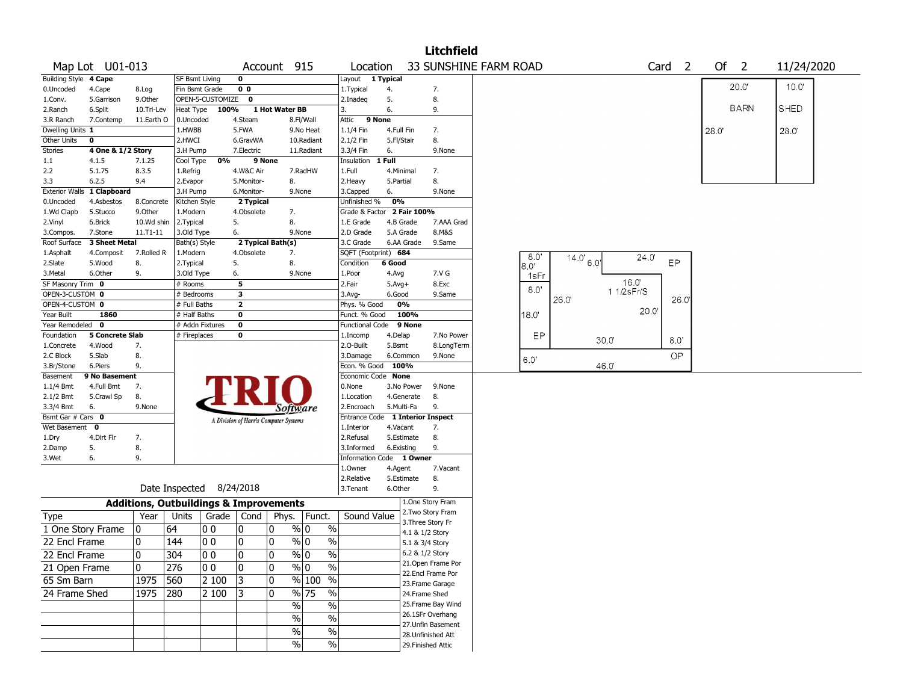|                                 |                            |              |                                                   |                  |                                       |                |                         |                       |                                  |                      |                          | <b>Litchfield</b>                        |       |                                                   |       |            |                   |      |             |            |  |
|---------------------------------|----------------------------|--------------|---------------------------------------------------|------------------|---------------------------------------|----------------|-------------------------|-----------------------|----------------------------------|----------------------|--------------------------|------------------------------------------|-------|---------------------------------------------------|-------|------------|-------------------|------|-------------|------------|--|
|                                 | Map Lot U01-013            |              |                                                   |                  |                                       | Account 915    |                         |                       | Location                         |                      |                          | 33 SUNSHINE FARM ROAD                    |       |                                                   |       |            | Card <sub>2</sub> |      | Of $2$      | 11/24/2020 |  |
| Building Style 4 Cape           |                            |              | <b>SF Bsmt Living</b>                             |                  | 0                                     |                |                         |                       | Layout                           | 1 Typical            |                          |                                          |       |                                                   |       |            |                   |      |             |            |  |
| 0.Uncoded                       | 4.Cape                     | 8.Log        | Fin Bsmt Grade                                    |                  | 0 <sub>0</sub>                        |                |                         |                       | 1. Typical                       | 4.                   |                          | 7.                                       |       |                                                   |       |            |                   |      | 20.0"       | 10.0'      |  |
| 1.Conv.                         | 5.Garrison                 | 9.Other      |                                                   | OPEN-5-CUSTOMIZE | $\mathbf{0}$                          |                |                         |                       | 2.Inadeq                         | 5.                   |                          | 8.                                       |       |                                                   |       |            |                   |      | <b>BARN</b> |            |  |
| 2.Ranch                         | 6.Split                    | 10.Tri-Lev   | <b>Heat Type</b>                                  | 100%             |                                       | 1 Hot Water BB |                         |                       | 3.                               | 6.                   |                          | 9.                                       |       |                                                   |       |            |                   |      |             | SHED       |  |
| 3.R Ranch                       | 7.Contemp                  | 11.Earth O   | 0.Uncoded<br>1.HWBB                               |                  | 4.Steam<br>5.FWA                      |                | 8.Fl/Wall               |                       | Attic                            | 9 None<br>4.Full Fin |                          |                                          |       |                                                   |       |            |                   |      |             |            |  |
| Dwelling Units 1<br>Other Units | 0                          |              | 2.HWCI                                            |                  | 6.GravWA                              |                | 9.No Heat<br>10.Radiant |                       | 1.1/4 Fin<br>2.1/2 Fin           | 5.Fl/Stair           |                          | 7.<br>8.                                 |       |                                                   |       |            |                   | 28.0 |             | 28.0       |  |
| <b>Stories</b>                  | 4 One & 1/2 Story          |              | 3.H Pump                                          |                  | 7.Electric                            |                | 11.Radiant              |                       | 3.3/4 Fin                        | 6.                   |                          | 9.None                                   |       |                                                   |       |            |                   |      |             |            |  |
| 1.1                             | 4.1.5                      | 7.1.25       | Cool Type                                         | 0%               |                                       | 9 None         |                         |                       | Insulation                       | 1 Full               |                          |                                          |       |                                                   |       |            |                   |      |             |            |  |
| 2.2                             | 5.1.75                     | 8.3.5        | 1.Refrig                                          |                  | 4.W&C Air                             |                | 7.RadHW                 |                       | 1.Full                           |                      | 4.Minimal                | 7.                                       |       |                                                   |       |            |                   |      |             |            |  |
| 3.3                             | 6.2.5                      | 9.4          | 2.Evapor                                          |                  | 5.Monitor-                            |                | 8.                      |                       | 2. Heavy                         | 5.Partial            |                          | 8.                                       |       |                                                   |       |            |                   |      |             |            |  |
|                                 | Exterior Walls 1 Clapboard |              | 3.H Pump                                          |                  | 6.Monitor-                            |                | 9.None                  |                       | 3.Capped                         | 6.                   |                          | 9.None                                   |       |                                                   |       |            |                   |      |             |            |  |
| 0.Uncoded                       | 4.Asbestos                 | 8.Concrete   | Kitchen Style                                     |                  | 2 Typical                             |                |                         |                       | Unfinished %                     | 0%                   |                          |                                          |       |                                                   |       |            |                   |      |             |            |  |
| 1.Wd Clapb                      | 5.Stucco                   | 9.Other      | 1.Modern                                          |                  | 4.Obsolete                            |                | 7.                      |                       | Grade & Factor 2 Fair 100%       |                      |                          |                                          |       |                                                   |       |            |                   |      |             |            |  |
| 2.Vinyl                         | 6.Brick                    | 10.Wd shin   | 2. Typical                                        |                  | 5.                                    |                | 8.                      |                       | 1.E Grade                        |                      | 4.B Grade                | 7.AAA Grad                               |       |                                                   |       |            |                   |      |             |            |  |
| 3.Compos.                       | 7.Stone                    | $11.71 - 11$ | 3.Old Type                                        |                  | 6.                                    |                | 9.None                  |                       | 2.D Grade                        |                      | 5.A Grade                | 8.M&S                                    |       |                                                   |       |            |                   |      |             |            |  |
| Roof Surface                    | 3 Sheet Metal              |              | Bath(s) Style                                     |                  | 2 Typical Bath(s)                     |                |                         |                       | 3.C Grade                        |                      | 6.AA Grade               | 9.Same                                   |       |                                                   |       |            |                   |      |             |            |  |
| 1.Asphalt                       | 4.Composit                 | 7.Rolled R   | 1.Modern                                          |                  | 4.Obsolete                            |                | 7.                      |                       | SQFT (Footprint) 684             |                      |                          |                                          | 8.0"  |                                                   |       | 24.0'      |                   |      |             |            |  |
| 2.Slate                         | 5.Wood                     | 8.           | 2. Typical                                        |                  | 5.                                    |                | 8.                      |                       | Condition                        | 6 Good               |                          |                                          | 8.0'  | $14.0^{\circ}$ 6.0 <sup><math>\prime</math></sup> |       |            | EP                |      |             |            |  |
| 3. Metal                        | 6.Other                    | 9.           | 3.Old Type                                        |                  | 6.                                    |                | 9.None                  |                       | 1.Poor                           | 4.Avg                |                          | 7.V G                                    | 1sFr  |                                                   |       |            |                   |      |             |            |  |
| SF Masonry Trim 0               |                            |              | # Rooms                                           |                  | 5                                     |                |                         |                       | 2.Fair                           | $5.Avg+$             |                          | 8.Exc                                    | 8.0'  |                                                   |       | 16.0'      |                   |      |             |            |  |
| OPEN-3-CUSTOM 0                 |                            |              | # Bedrooms                                        |                  | 3                                     |                |                         |                       | 3.Avg-                           | 6.Good               |                          | 9.Same                                   |       | 26.0                                              |       | 1 1/2sFr/S | 26.0              |      |             |            |  |
| OPEN-4-CUSTOM 0                 |                            |              | # Full Baths                                      |                  | $\overline{\mathbf{2}}$               |                |                         |                       | Phys. % Good                     |                      | 0%                       |                                          |       |                                                   |       | 20.0       |                   |      |             |            |  |
| Year Built                      | 1860                       |              | # Half Baths                                      |                  | $\mathbf 0$                           |                |                         |                       | Funct. % Good                    |                      | 100%                     |                                          | 18.0' |                                                   |       |            |                   |      |             |            |  |
| Year Remodeled 0                |                            |              |                                                   | # Addn Fixtures  | $\mathbf 0$                           |                |                         |                       | Functional Code                  |                      | 9 None                   |                                          |       |                                                   |       |            |                   |      |             |            |  |
| Foundation                      | 5 Concrete Slab            |              | # Fireplaces                                      |                  | 0                                     |                |                         |                       | 1.Incomp                         | 4.Delap              |                          | 7.No Power                               | ΕP    |                                                   | 30.0" |            | 8.0"              |      |             |            |  |
| 1.Concrete                      | 4.Wood                     | 7.           |                                                   |                  |                                       |                |                         |                       | 2.O-Built                        | 5.Bsmt               |                          | 8.LongTerm                               |       |                                                   |       |            |                   |      |             |            |  |
| 2.C Block                       | 5.Slab                     | 8.           |                                                   |                  |                                       |                |                         |                       | 3.Damage                         |                      | 6.Common                 | 9.None                                   | 6.0'  |                                                   |       |            | OP                |      |             |            |  |
| 3.Br/Stone                      | 6.Piers                    | 9.           |                                                   |                  |                                       |                |                         |                       | Econ. % Good                     |                      | 100%                     |                                          |       |                                                   | 46.0  |            |                   |      |             |            |  |
| Basement                        | 9 No Basement              |              |                                                   |                  |                                       |                |                         |                       | Economic Code None               |                      |                          |                                          |       |                                                   |       |            |                   |      |             |            |  |
| 1.1/4 Bmt<br>2.1/2 Bmt          | 4.Full Bmt                 | 7.           |                                                   |                  |                                       |                |                         |                       | 0.None                           |                      | 3.No Power               | 9.None<br>8.                             |       |                                                   |       |            |                   |      |             |            |  |
| 3.3/4 Bmt                       | 5.Crawl Sp<br>6.           | 8.<br>9.None |                                                   |                  |                                       |                |                         |                       | 1.Location<br>2.Encroach         |                      | 4.Generate<br>5.Multi-Fa | 9.                                       |       |                                                   |       |            |                   |      |             |            |  |
| Bsmt Gar # Cars 0               |                            |              |                                                   |                  |                                       |                | Software                |                       | Entrance Code 1 Interior Inspect |                      |                          |                                          |       |                                                   |       |            |                   |      |             |            |  |
| Wet Basement 0                  |                            |              |                                                   |                  | A Division of Harris Computer Systems |                |                         |                       | 1.Interior                       | 4.Vacant             |                          | 7.                                       |       |                                                   |       |            |                   |      |             |            |  |
| 1.Dry                           | 4.Dirt Flr                 | 7.           |                                                   |                  |                                       |                |                         |                       | 2.Refusal                        |                      | 5.Estimate               | 8.                                       |       |                                                   |       |            |                   |      |             |            |  |
| 2.Damp                          | 5.                         | 8.           |                                                   |                  |                                       |                |                         |                       | 3.Informed                       |                      | 6.Existing               | 9.                                       |       |                                                   |       |            |                   |      |             |            |  |
| 3.Wet                           | 6.                         | 9.           |                                                   |                  |                                       |                |                         |                       | Information Code 1 Owner         |                      |                          |                                          |       |                                                   |       |            |                   |      |             |            |  |
|                                 |                            |              |                                                   |                  |                                       |                |                         |                       | 1.Owner                          | 4.Agent              |                          | 7.Vacant                                 |       |                                                   |       |            |                   |      |             |            |  |
|                                 |                            |              |                                                   |                  |                                       |                |                         |                       | 2.Relative                       |                      | 5.Estimate               | 8.                                       |       |                                                   |       |            |                   |      |             |            |  |
|                                 |                            |              | Date Inspected 8/24/2018                          |                  |                                       |                |                         |                       | 3.Tenant                         | 6.Other              |                          | 9.                                       |       |                                                   |       |            |                   |      |             |            |  |
|                                 |                            |              | <b>Additions, Outbuildings &amp; Improvements</b> |                  |                                       |                |                         |                       |                                  |                      |                          | 1.One Story Fram                         |       |                                                   |       |            |                   |      |             |            |  |
| Type                            |                            | Year         | Units                                             | Grade            | Cond                                  | Phys.          |                         | Funct.                | Sound Value                      |                      |                          | 2. Two Story Fram                        |       |                                                   |       |            |                   |      |             |            |  |
| 1 One Story Frame               |                            | 10           | 64                                                | 00               | 10                                    | 0              | % 0                     | $\%$                  |                                  |                      | 4.1 & 1/2 Story          | 3. Three Story Fr                        |       |                                                   |       |            |                   |      |             |            |  |
| 22 Encl Frame                   |                            | 10           | 144                                               | 00               | 10                                    | 0              | % 0                     | $\%$                  |                                  |                      | 5.1 & 3/4 Story          |                                          |       |                                                   |       |            |                   |      |             |            |  |
| 22 Encl Frame                   |                            | $ 0\rangle$  | $ 304\rangle$                                     | $ 00\rangle$     | $ 0\rangle$                           | $\overline{0}$ | $\frac{9}{0}$           | $\%$                  |                                  |                      |                          | 6.2 & 1/2 Story                          |       |                                                   |       |            |                   |      |             |            |  |
|                                 |                            |              |                                                   |                  | 0                                     |                | $\frac{9}{0}$ 0         |                       |                                  |                      |                          | 21.Open Frame Por                        |       |                                                   |       |            |                   |      |             |            |  |
| 21 Open Frame                   |                            | 0            | 276                                               | 00               |                                       | 0              |                         | $\%$                  |                                  |                      |                          | 22.Encl Frame Por                        |       |                                                   |       |            |                   |      |             |            |  |
| 65 Sm Barn                      |                            | 1975         | 560                                               | 2 100            | 3                                     | 0              |                         | % 100 %               |                                  |                      |                          | 23. Frame Garage                         |       |                                                   |       |            |                   |      |             |            |  |
| 24 Frame Shed                   |                            | 1975         | 280                                               | 2 100            | 13                                    | 0              | % 75                    | $\%$                  |                                  |                      |                          | 24.Frame Shed                            |       |                                                   |       |            |                   |      |             |            |  |
|                                 |                            |              |                                                   |                  |                                       |                | $\frac{1}{2}$           | $\frac{0}{0}$         |                                  |                      |                          | 25. Frame Bay Wind                       |       |                                                   |       |            |                   |      |             |            |  |
|                                 |                            |              |                                                   |                  |                                       |                | $\frac{1}{2}$           | $\%$                  |                                  |                      |                          | 26.1SFr Overhang                         |       |                                                   |       |            |                   |      |             |            |  |
|                                 |                            |              |                                                   |                  |                                       |                |                         |                       |                                  |                      |                          | 27. Unfin Basement                       |       |                                                   |       |            |                   |      |             |            |  |
|                                 |                            |              |                                                   |                  |                                       |                |                         |                       |                                  |                      |                          |                                          |       |                                                   |       |            |                   |      |             |            |  |
|                                 |                            |              |                                                   |                  |                                       |                | $\frac{1}{2}$<br>$\%$   | $\frac{0}{6}$<br>$\%$ |                                  |                      |                          | 28. Unfinished Att<br>29. Finished Attic |       |                                                   |       |            |                   |      |             |            |  |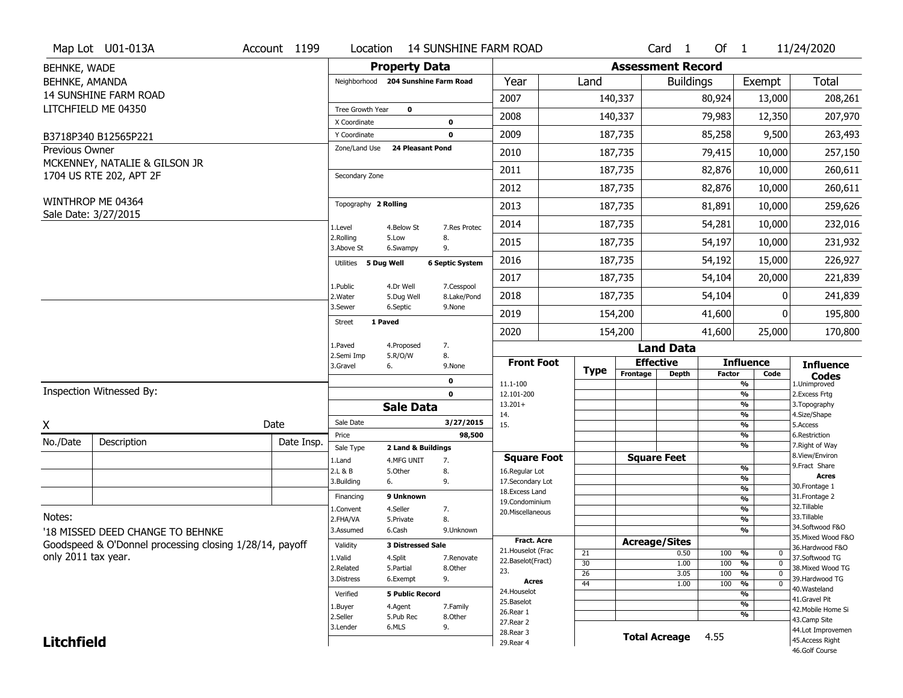|                     | Map Lot U01-013A                                        | Account 1199 | Location                      |                                     | <b>14 SUNSHINE FARM ROAD</b> |                                    |                       |                          | Card <sub>1</sub> | Of $1$     |                                            | 11/24/2020                           |
|---------------------|---------------------------------------------------------|--------------|-------------------------------|-------------------------------------|------------------------------|------------------------------------|-----------------------|--------------------------|-------------------|------------|--------------------------------------------|--------------------------------------|
| BEHNKE, WADE        |                                                         |              |                               | <b>Property Data</b>                |                              |                                    |                       | <b>Assessment Record</b> |                   |            |                                            |                                      |
| BEHNKE, AMANDA      |                                                         |              |                               | Neighborhood 204 Sunshine Farm Road |                              | Year                               | Land                  |                          | <b>Buildings</b>  |            | Exempt                                     | Total                                |
|                     | <b>14 SUNSHINE FARM ROAD</b>                            |              |                               |                                     |                              | 2007                               |                       | 140,337                  |                   | 80,924     | 13,000                                     | 208,261                              |
|                     | LITCHFIELD ME 04350                                     |              | Tree Growth Year              | $\mathbf 0$                         |                              | 2008                               |                       | 140,337                  |                   | 79,983     | 12,350                                     | 207,970                              |
|                     |                                                         |              | X Coordinate                  |                                     | 0                            |                                    |                       |                          |                   |            |                                            |                                      |
|                     | B3718P340 B12565P221                                    |              | Y Coordinate<br>Zone/Land Use | <b>24 Pleasant Pond</b>             | 0                            | 2009                               |                       | 187,735                  |                   | 85,258     | 9,500                                      | 263,493                              |
| Previous Owner      | MCKENNEY, NATALIE & GILSON JR                           |              |                               |                                     |                              | 2010                               |                       | 187,735                  |                   | 79,415     | 10,000                                     | 257,150                              |
|                     | 1704 US RTE 202, APT 2F                                 |              | Secondary Zone                |                                     |                              | 2011                               |                       | 187,735                  |                   | 82,876     | 10,000                                     | 260,611                              |
|                     |                                                         |              |                               |                                     |                              | 2012                               |                       | 187,735                  |                   | 82,876     | 10,000                                     | 260,611                              |
|                     | WINTHROP ME 04364<br>Sale Date: 3/27/2015               |              | Topography 2 Rolling          |                                     |                              | 2013                               |                       | 187,735                  |                   | 81,891     | 10,000                                     | 259,626                              |
|                     |                                                         |              | 1.Level                       | 4.Below St                          | 7.Res Protec                 | 2014                               |                       | 187,735                  |                   | 54,281     | 10,000                                     | 232,016                              |
|                     |                                                         |              | 2.Rolling<br>3.Above St       | 5.Low<br>6.Swampy                   | 8.<br>9.                     | 2015                               |                       | 187,735                  |                   | 54,197     | 10,000                                     | 231,932                              |
|                     |                                                         |              | Utilities 5 Dug Well          |                                     | <b>6 Septic System</b>       | 2016                               |                       | 187,735                  |                   | 54,192     | 15,000                                     | 226,927                              |
|                     |                                                         |              | 1.Public                      | 4.Dr Well                           |                              | 2017                               |                       | 187,735                  |                   | 54,104     | 20,000                                     | 221,839                              |
|                     |                                                         |              | 2. Water                      | 5.Dug Well                          | 7.Cesspool<br>8.Lake/Pond    | 2018                               |                       | 187,735                  |                   | 54,104     | O                                          | 241,839                              |
|                     |                                                         |              | 3.Sewer                       | 6.Septic                            | 9.None                       | 2019                               |                       | 154,200                  |                   | 41,600     | 0                                          | 195,800                              |
|                     |                                                         |              | Street                        | 1 Paved                             |                              | 2020                               |                       | 154,200                  |                   | 41,600     | 25,000                                     | 170,800                              |
|                     |                                                         |              | 1.Paved<br>2.Semi Imp         | 4.Proposed<br>5.R/O/W               | 7.<br>8.                     |                                    |                       |                          | <b>Land Data</b>  |            |                                            |                                      |
|                     |                                                         |              | 3.Gravel                      | 6.                                  | 9.None                       | <b>Front Foot</b>                  | Type                  | <b>Effective</b>         |                   |            | <b>Influence</b>                           | <b>Influence</b>                     |
|                     |                                                         |              |                               |                                     | 0                            | 11.1-100                           |                       | Frontage                 | <b>Depth</b>      | Factor     | Code<br>$\frac{9}{6}$                      | <b>Codes</b><br>1.Unimproved         |
|                     | Inspection Witnessed By:                                |              |                               |                                     | 0                            | 12.101-200<br>$13.201+$            |                       |                          |                   |            | $\frac{9}{6}$<br>$\frac{9}{6}$             | 2. Excess Frtg<br>3. Topography      |
|                     |                                                         |              |                               | <b>Sale Data</b>                    |                              | 14.                                |                       |                          |                   |            | %                                          | 4.Size/Shape                         |
| X                   |                                                         | Date         | Sale Date                     |                                     | 3/27/2015                    | 15.                                |                       |                          |                   |            | $\frac{9}{6}$                              | 5.Access                             |
| No./Date            | Description                                             | Date Insp.   | Price<br>Sale Type            | 2 Land & Buildings                  | 98,500                       |                                    |                       |                          |                   |            | %<br>$\frac{9}{6}$                         | 6.Restriction<br>7. Right of Way     |
|                     |                                                         |              | 1.Land                        | 4.MFG UNIT                          | 7.                           | <b>Square Foot</b>                 |                       | <b>Square Feet</b>       |                   |            |                                            | 8.View/Environ                       |
|                     |                                                         |              | 2.L & B                       | 5.Other                             | 8.                           | 16.Regular Lot                     |                       |                          |                   |            | $\frac{9}{6}$<br>$\frac{9}{6}$             | 9.Fract Share<br><b>Acres</b>        |
|                     |                                                         |              | 3.Building                    | 6.                                  | 9.                           | 17.Secondary Lot<br>18.Excess Land |                       |                          |                   |            | $\frac{9}{6}$                              | 30. Frontage 1                       |
|                     |                                                         |              | Financing                     | 9 Unknown                           |                              | 19.Condominium                     |                       |                          |                   |            | %                                          | 31. Frontage 2                       |
|                     |                                                         |              | 1.Convent                     | 4.Seller                            | 7.                           | 20.Miscellaneous                   |                       |                          |                   |            | %                                          | 32.Tillable                          |
| Notes:              |                                                         |              | 2.FHA/VA                      | 5.Private                           | 8.                           |                                    |                       |                          |                   |            | %                                          | 33.Tillable<br>34.Softwood F&O       |
|                     | '18 MISSED DEED CHANGE TO BEHNKE                        |              | 3.Assumed                     | 6.Cash                              | 9.Unknown                    | <b>Fract. Acre</b>                 |                       |                          |                   |            | %                                          | 35. Mixed Wood F&O                   |
|                     | Goodspeed & O'Donnel processing closing 1/28/14, payoff |              | Validity                      | <b>3 Distressed Sale</b>            |                              | 21. Houselot (Frac                 |                       | <b>Acreage/Sites</b>     |                   |            |                                            | 36.Hardwood F&O                      |
| only 2011 tax year. |                                                         |              | 1.Valid                       | 4.Split                             | 7.Renovate                   | 22.Baselot(Fract)                  | $\overline{21}$<br>30 |                          | 0.50              | 100        | %<br>0<br>$\mathbf 0$                      | 37.Softwood TG                       |
|                     |                                                         |              | 2.Related                     | 5.Partial                           | 8.Other                      | 23.                                | 26                    |                          | 1.00<br>3.05      | 100<br>100 | $\frac{9}{6}$<br>$\frac{9}{6}$<br>$\Omega$ | 38. Mixed Wood TG                    |
|                     |                                                         |              | 3.Distress                    | 6.Exempt                            | 9.                           | <b>Acres</b>                       | 44                    |                          | 1.00              | 100        | $\frac{9}{6}$<br>0                         | 39.Hardwood TG                       |
|                     |                                                         |              | Verified                      | <b>5 Public Record</b>              |                              | 24. Houselot                       |                       |                          |                   |            | %                                          | 40. Wasteland                        |
|                     |                                                         |              | 1.Buyer                       | 4.Agent                             | 7.Family                     | 25.Baselot                         |                       |                          |                   |            | $\frac{9}{6}$                              | 41.Gravel Pit                        |
|                     |                                                         |              | 2.Seller                      | 5.Pub Rec                           | 8.Other                      | 26.Rear 1                          |                       |                          |                   |            | %                                          | 42. Mobile Home Si<br>43.Camp Site   |
|                     |                                                         |              |                               |                                     |                              | 27.Rear 2                          |                       |                          |                   |            |                                            |                                      |
|                     |                                                         |              | 3.Lender                      | 6.MLS                               | 9.                           |                                    |                       |                          |                   |            |                                            |                                      |
| <b>Litchfield</b>   |                                                         |              |                               |                                     |                              | 28.Rear 3<br>29. Rear 4            |                       | <b>Total Acreage</b>     |                   | 4.55       |                                            | 44.Lot Improvemen<br>45.Access Right |